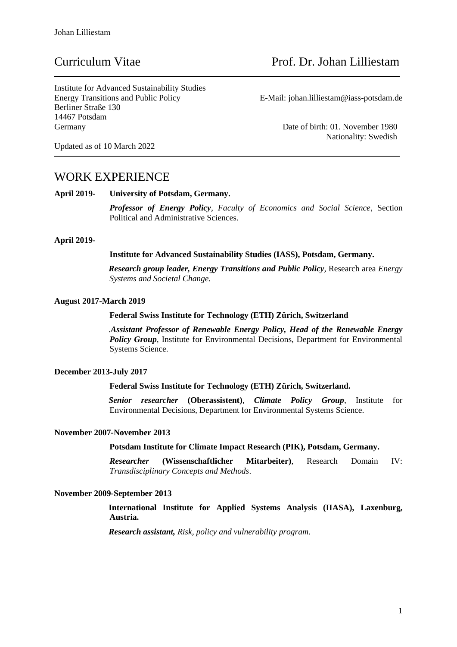Institute for Advanced Sustainability Studies Energy Transitions and Public Policy E-Mail: johan.lilliestam@iass-potsdam.de Berliner Straße 130 14467 Potsdam Germany Date of birth: 01. November 1980

Nationality: Swedish

Updated as of 10 March 2022

### WORK EXPERIENCE

**April 2019- University of Potsdam, Germany.**

*Professor of Energy Policy, Faculty of Economics and Social Science*, Section Political and Administrative Sciences.

#### **April 2019-**

#### **Institute for Advanced Sustainability Studies (IASS), Potsdam, Germany.**

*Research group leader, Energy Transitions and Public Policy,* Research area *Energy Systems and Societal Change.*

#### **August 2017-March 2019**

#### **Federal Swiss Institute for Technology (ETH) Zürich, Switzerland**

.*Assistant Professor of Renewable Energy Policy, Head of the Renewable Energy Policy Group,* Institute for Environmental Decisions, Department for Environmental Systems Science.

#### **December 2013-July 2017**

#### **Federal Swiss Institute for Technology (ETH) Zürich, Switzerland.**

*Senior researcher* **(Oberassistent)**, *Climate Policy Group*, Institute for Environmental Decisions, Department for Environmental Systems Science.

#### **November 2007-November 2013**

#### **Potsdam Institute for Climate Impact Research (PIK), Potsdam, Germany.**

*Researcher* **(Wissenschaftlicher Mitarbeiter)**, Research Domain IV: *Transdisciplinary Concepts and Methods*.

#### **November 2009-September 2013**

**International Institute for Applied Systems Analysis (IIASA), Laxenburg, Austria.**

*Research assistant, Risk, policy and vulnerability program*.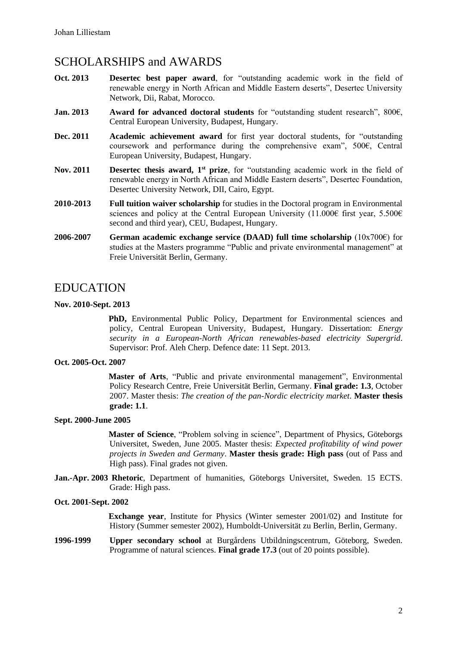# SCHOLARSHIPS and AWARDS

- **Oct. 2013 Desertec best paper award**, for "outstanding academic work in the field of renewable energy in North African and Middle Eastern deserts", Desertec University Network, Dii, Rabat, Morocco.
- **Jan. 2013 Award for advanced doctoral students** for "outstanding student research", 800€, Central European University, Budapest, Hungary.
- **Dec. 2011 Academic achievement award** for first year doctoral students, for "outstanding coursework and performance during the comprehensive exam", 500€, Central European University, Budapest, Hungary.
- **Nov. 2011 Desertec thesis award, 1st prize**, for "outstanding academic work in the field of renewable energy in North African and Middle Eastern deserts", Desertec Foundation, Desertec University Network, DII, Cairo, Egypt.
- **2010-2013 Full tuition waiver scholarship** for studies in the Doctoral program in Environmental sciences and policy at the Central European University (11.000€ first year, 5.500€ second and third year), CEU, Budapest, Hungary.
- **2006-2007 German academic exchange service (DAAD) full time scholarship** (10x700€) for studies at the Masters programme "Public and private environmental management" at Freie Universität Berlin, Germany.

# EDUCATION

#### **Nov. 2010-Sept. 2013**

**PhD,** Environmental Public Policy, Department for Environmental sciences and policy, Central European University, Budapest, Hungary. Dissertation: *Energy security in a European-North African renewables-based electricity Supergrid*. Supervisor: Prof. Aleh Cherp. Defence date: 11 Sept. 2013.

### **Oct. 2005-Oct. 2007**

**Master of Arts**, "Public and private environmental management", Environmental Policy Research Centre, Freie Universität Berlin, Germany. **Final grade: 1.3**, October 2007. Master thesis: *The creation of the pan-Nordic electricity market*. **Master thesis grade: 1.1**.

#### **Sept. 2000-June 2005**

**Master of Science**, "Problem solving in science", Department of Physics, Göteborgs Universitet, Sweden, June 2005. Master thesis: *Expected profitability of wind power projects in Sweden and Germany*. **Master thesis grade: High pass** (out of Pass and High pass). Final grades not given.

**Jan.-Apr. 2003 Rhetoric**, Department of humanities, Göteborgs Universitet, Sweden. 15 ECTS. Grade: High pass.

#### **Oct. 2001-Sept. 2002**

**Exchange year**, Institute for Physics (Winter semester 2001/02) and Institute for History (Summer semester 2002), Humboldt-Universität zu Berlin, Berlin, Germany.

**1996-1999 Upper secondary school** at Burgårdens Utbildningscentrum, Göteborg, Sweden. Programme of natural sciences. **Final grade 17.3** (out of 20 points possible).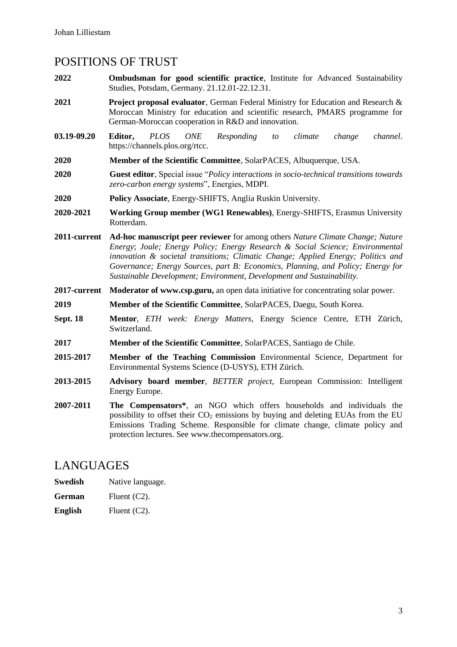# POSITIONS OF TRUST

- **2022 Ombudsman for good scientific practice**, Institute for Advanced Sustainability Studies, Potsdam, Germany. 21.12.01-22.12.31.
- **2021 Project proposal evaluator**, German Federal Ministry for Education and Research & Moroccan Ministry for education and scientific research, PMARS programme for German-Moroccan cooperation in R&D and innovation.
- **03.19-09.20 Editor,** *PLOS ONE Responding to climate change channel*. https://channels.plos.org/rtcc.
- **2020 Member of the Scientific Committee**, SolarPACES, Albuquerque, USA.
- **2020 Guest editor**, Special issue "*Policy interactions in socio-technical transitions towards zero-carbon energy systems*", Energies, MDPI.
- **2020 Policy Associate**, Energy-SHIFTS, Anglia Ruskin University.
- **2020-2021 Working Group member (WG1 Renewables)**, Energy-SHIFTS, Erasmus University Rotterdam.
- **2011-current Ad-hoc manuscript peer reviewer** for among others *Nature Climate Change; Nature Energy*; *Joule; Energy Policy; Energy Research & Social Science; Environmental innovation & societal transitions; Climatic Change; Applied Energy; Politics and Governance; Energy Sources, part B: Economics, Planning, and Policy; Energy for Sustainable Development; Environment, Development and Sustainability.*
- **2017-current Moderator of www.csp.guru,** an open data initiative for concentrating solar power.
- **2019 Member of the Scientific Committee**, SolarPACES, Daegu, South Korea.
- **Sept. 18 Mentor**, *ETH week: Energy Matters*, Energy Science Centre, ETH Zürich, Switzerland.
- **2017 Member of the Scientific Committee**, SolarPACES, Santiago de Chile.
- **2015-2017 Member of the Teaching Commission** Environmental Science, Department for Environmental Systems Science (D-USYS), ETH Zürich.
- **2013-2015 Advisory board member**, *BETTER project*, European Commission: Intelligent Energy Europe.
- **2007-2011 The Compensators\***, an NGO which offers households and individuals the possibility to offset their  $CO<sub>2</sub>$  emissions by buying and deleting EUAs from the EU Emissions Trading Scheme. Responsible for climate change, climate policy and protection lectures. See www.thecompensators.org.

### LANGUAGES

| Swedish | Native language. |
|---------|------------------|
|---------|------------------|

- **German** Fluent (C2).
- English Fluent (C2).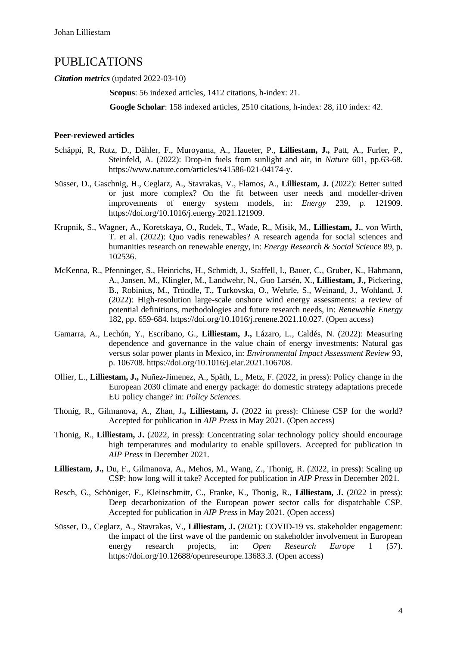### PUBLICATIONS

*Citation metrics* (updated 2022-03-10)

**Scopus**: 56 indexed articles, 1412 citations, h-index: 21.

**Google Scholar**: 158 indexed articles, 2510 citations, h-index: 28, i10 index: 42.

#### **Peer-reviewed articles**

- Schäppi, R, Rutz, D., Dähler, F., Muroyama, A., Haueter, P., **Lilliestam, J.,** Patt, A., Furler, P., Steinfeld, A. (2022): Drop-in fuels from sunlight and air, in *Nature* 601, pp.63-68. https://www.nature.com/articles/s41586-021-04174-y.
- Süsser, D., Gaschnig, H., Ceglarz, A., Stavrakas, V., Flamos, A., **Lilliestam, J.** (2022): Better suited or just more complex? On the fit between user needs and modeller-driven improvements of energy system models, in: *Energy* 239, p. 121909. https://doi.org/10.1016/j.energy.2021.121909.
- Krupnik, S., Wagner, A., Koretskaya, O., Rudek, T., Wade, R., Misik, M., **Lilliestam, J.**, von Wirth, T. et al. (2022): Quo vadis renewables? A research agenda for social sciences and humanities research on renewable energy, in: *Energy Research & Social Science* 89, p. 102536.
- McKenna, R., Pfenninger, S., Heinrichs, H., Schmidt, J., Staffell, I., Bauer, C., Gruber, K., Hahmann, A., Jansen, M., Klingler, M., Landwehr, N., Guo Larsén, X., **Lilliestam, J.,** Pickering, B., Robinius, M., Tröndle, T., Turkovska, O., Wehrle, S., Weinand, J., Wohland, J. (2022): High-resolution large-scale onshore wind energy assessments: a review of potential definitions, methodologies and future research needs, in: *Renewable Energy* 182, pp. 659-684. https://doi.org/10.1016/j.renene.2021.10.027. (Open access)
- Gamarra, A., Lechón, Y., Escribano, G., **Lilliestam, J.,** Lázaro, L., Caldés, N. (2022): Measuring dependence and governance in the value chain of energy investments: Natural gas versus solar power plants in Mexico, in: *Environmental Impact Assessment Review* 93, p. 106708. https://doi.org/10.1016/j.eiar.2021.106708.
- Ollier, L., **Lilliestam, J.,** Nuñez-Jimenez, A., Späth, L., Metz, F. (2022, in press): Policy change in the European 2030 climate and energy package: do domestic strategy adaptations precede EU policy change? in: *Policy Sciences*.
- Thonig, R., Gilmanova, A., Zhan, J**., Lilliestam, J.** (2022 in press): Chinese CSP for the world? Accepted for publication in *AIP Press* in May 2021. (Open access)
- Thonig, R., **Lilliestam, J.** (2022, in press**)**: Concentrating solar technology policy should encourage high temperatures and modularity to enable spillovers. Accepted for publication in *AIP Press* in December 2021.
- **Lilliestam, J.,** Du, F., Gilmanova, A., Mehos, M., Wang, Z., Thonig, R. (2022, in press**)**: Scaling up CSP: how long will it take? Accepted for publication in *AIP Press* in December 2021.
- Resch, G., Schöniger, F., Kleinschmitt, C., Franke, K., Thonig, R., **Lilliestam, J.** (2022 in press): Deep decarbonization of the European power sector calls for dispatchable CSP. Accepted for publication in *AIP Press* in May 2021. (Open access)
- Süsser, D., Ceglarz, A., Stavrakas, V., **Lilliestam, J.** (2021): COVID-19 vs. stakeholder engagement: the impact of the first wave of the pandemic on stakeholder involvement in European energy research projects, in: *Open Research Europe* 1 (57). https://doi.org/10.12688/openreseurope.13683.3. (Open access)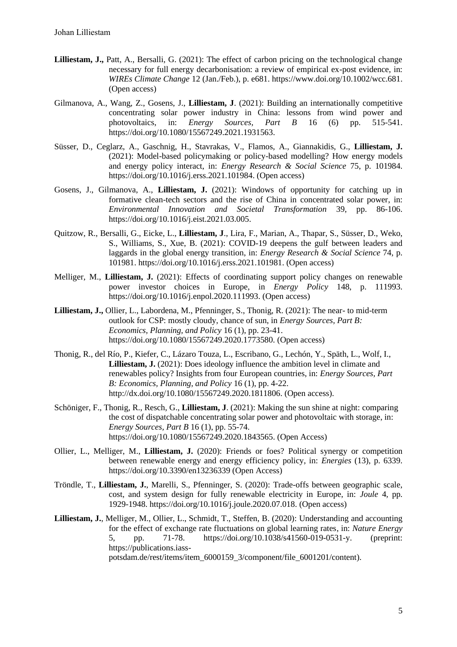- **Lilliestam, J.,** Patt, A., Bersalli, G. (2021): The effect of carbon pricing on the technological change necessary for full energy decarbonisation: a review of empirical ex-post evidence, in: *WIREs Climate Change* 12 (Jan./Feb.), p. e681. https://www.doi.org/10.1002/wcc.681. (Open access)
- Gilmanova, A., Wang, Z., Gosens, J., **Lilliestam, J**. (2021): Building an internationally competitive concentrating solar power industry in China: lessons from wind power and photovoltaics, in: *Energy Sources, Part B* 16 (6) pp. 515-541. https://doi.org/10.1080/15567249.2021.1931563.
- Süsser, D., Ceglarz, A., Gaschnig, H., Stavrakas, V., Flamos, A., Giannakidis, G., **Lilliestam, J.** (2021): Model-based policymaking or policy-based modelling? How energy models and energy policy interact, in: *Energy Research & Social Science* 75, p. 101984. https://doi.org/10.1016/j.erss.2021.101984. (Open access)
- Gosens, J., Gilmanova, A., **Lilliestam, J.** (2021): Windows of opportunity for catching up in formative clean-tech sectors and the rise of China in concentrated solar power, in: *Environmental Innovation and Societal Transformation* 39, pp. 86-106. https://doi.org/10.1016/j.eist.2021.03.005.
- Quitzow, R., Bersalli, G., Eicke, L., **Lilliestam, J**., Lira, F., Marian, A., Thapar, S., Süsser, D., Weko, S., Williams, S., Xue, B. (2021): COVID-19 deepens the gulf between leaders and laggards in the global energy transition, in: *Energy Research & Social Science* 74, p. 101981. https://doi.org/10.1016/j.erss.2021.101981. (Open access)
- Melliger, M., **Lilliestam, J.** (2021): Effects of coordinating support policy changes on renewable power investor choices in Europe, in *Energy Policy* 148, p. 111993. https://doi.org/10.1016/j.enpol.2020.111993. (Open access)
- **Lilliestam, J.,** Ollier, L., Labordena, M., Pfenninger, S., Thonig, R. (2021): The near- to mid-term outlook for CSP: mostly cloudy, chance of sun, in *Energy Sources, Part B: Economics, Planning, and Policy* 16 (1), pp. 23-41. https://doi.org/10.1080/15567249.2020.1773580. (Open access)
- Thonig, R., del Río, P., Kiefer, C., Lázaro Touza, L., Escribano, G., Lechón, Y., Späth, L., Wolf, I., **Lilliestam, J.** (2021): Does ideology influence the ambition level in climate and renewables policy? Insights from four European countries, in: *Energy Sources, Part B: Economics, Planning, and Policy* 16 (1), pp. 4-22. http://dx.doi.org/10.1080/15567249.2020.1811806. (Open access).
- Schöniger, F., Thonig, R., Resch, G., **Lilliestam, J**. (2021): Making the sun shine at night: comparing the cost of dispatchable concentrating solar power and photovoltaic with storage, in: *Energy Sources, Part B* 16 (1), pp. 55-74. https://doi.org/10.1080/15567249.2020.1843565. (Open Access)
- Ollier, L., Melliger, M., **Lilliestam, J.** (2020): Friends or foes? Political synergy or competition between renewable energy and energy efficiency policy, in: *Energies* (13), p. 6339. https://doi.org/10.3390/en13236339 (Open Access)
- Tröndle, T., **Lilliestam, J.**, Marelli, S., Pfenninger, S. (2020): Trade-offs between geographic scale, cost, and system design for fully renewable electricity in Europe, in: *Joule* 4, pp. 1929-1948. https://doi.org/10.1016/j.joule.2020.07.018. (Open access)
- **Lilliestam, J.**, Melliger, M., Ollier, L., Schmidt, T., Steffen, B. (2020): Understanding and accounting for the effect of exchange rate fluctuations on global learning rates, in: *Nature Energy* 5, pp. 71-78. https://doi.org/10.1038/s41560-019-0531-y. (preprint: https://publications.iass-

potsdam.de/rest/items/item\_6000159\_3/component/file\_6001201/content).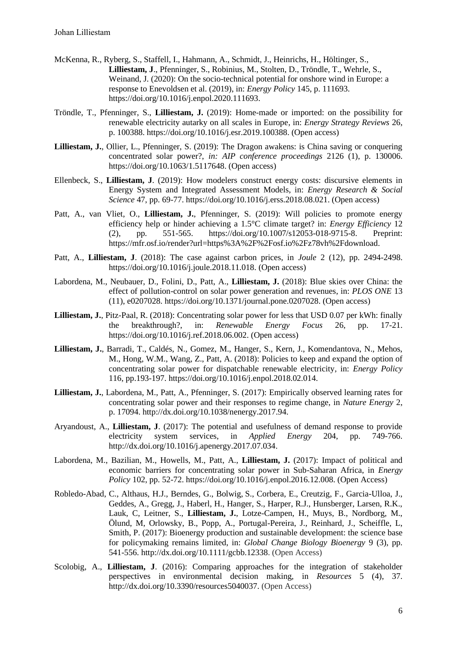- McKenna, R., Ryberg, S., Staffell, I., Hahmann, A., Schmidt, J., Heinrichs, H., Höltinger, S., **Lilliestam, J**., Pfenninger, S., Robinius, M., Stolten, D., Tröndle, T., Wehrle, S., Weinand, J. (2020): On the socio-technical potential for onshore wind in Europe: a response to Enevoldsen et al. (2019), in: *Energy Policy* 145, p. 111693. https://doi.org/10.1016/j.enpol.2020.111693.
- Tröndle, T., Pfenninger, S., **Lilliestam, J.** (2019): Home-made or imported: on the possibility for renewable electricity autarky on all scales in Europe, in: *Energy Strategy Reviews* 26, p. 100388. https://doi.org/10.1016/j.esr.2019.100388. (Open access)
- **Lilliestam, J.**, Ollier, L., Pfenninger, S. (2019): The Dragon awakens: is China saving or conquering concentrated solar power?, *in: AIP conference proceedings* 2126 (1), p. 130006. https://doi.org/10.1063/1.5117648. (Open access)
- Ellenbeck, S., **Lilliestam, J**. (2019): How modelers construct energy costs: discursive elements in Energy System and Integrated Assessment Models, in: *Energy Research & Social Science* 47, pp. 69-77. https://doi.org/10.1016/j.erss.2018.08.021. (Open access)
- Patt, A., van Vliet, O., Lilliestam, J., Pfenninger, S. (2019): Will policies to promote energy efficiency help or hinder achieving a 1.5°C climate target? in: *Energy Efficiency* 12 (2), pp. 551-565. https://doi.org/10.1007/s12053-018-9715-8. Preprint: https://mfr.osf.io/render?url=https%3A%2F%2Fosf.io%2Fz78vh%2Fdownload.
- Patt, A., **Lilliestam, J**. (2018): The case against carbon prices, in *Joule* 2 (12), pp. 2494-2498. https://doi.org/10.1016/j.joule.2018.11.018. (Open access)
- Labordena, M., Neubauer, D., Folini, D., Patt, A., **Lilliestam, J.** (2018): Blue skies over China: the effect of pollution-control on solar power generation and revenues, in: *PLOS ONE* 13 (11), e0207028. https://doi.org/10.1371/journal.pone.0207028. (Open access)
- **Lilliestam, J.**, Pitz-Paal, R. (2018): Concentrating solar power for less that USD 0.07 per kWh: finally the breakthrough?, in: *Renewable Energy Focus* 26, pp. 17-21. https://doi.org/10.1016/j.ref.2018.06.002. (Open access)
- **Lilliestam, J.**, Barradi, T., Caldés, N., Gomez, M., Hanger, S., Kern, J., Komendantova, N., Mehos, M., Hong, W.M., Wang, Z., Patt, A. (2018): Policies to keep and expand the option of concentrating solar power for dispatchable renewable electricity, in: *Energy Policy* 116, pp.193-197. https://doi.org/10.1016/j.enpol.2018.02.014.
- **Lilliestam, J.**, Labordena, M., Patt, A., Pfenninger, S. (2017): Empirically observed learning rates for concentrating solar power and their responses to regime change, in *Nature Energy* 2, p. 17094. http://dx.doi.org/10.1038/nenergy.2017.94.
- Aryandoust, A., **Lilliestam, J**. (2017): The potential and usefulness of demand response to provide electricity system services, in *Applied Energy* 204, pp. 749-766. http://dx.doi.org/10.1016/j.apenergy.2017.07.034.
- Labordena, M., Bazilian, M., Howells, M., Patt, A., **Lilliestam, J.** (2017): Impact of political and economic barriers for concentrating solar power in Sub-Saharan Africa, in *Energy Policy* 102, pp. 52-72. https://doi.org/10.1016/j.enpol.2016.12.008. (Open Access)
- Robledo-Abad, C., Althaus, H.J., Berndes, G., Bolwig, S., Corbera, E., Creutzig, F., Garcia-Ulloa, J., Geddes, A., Gregg, J., Haberl, H., Hanger, S., Harper, R.J., Hunsberger, Larsen, R.K., Lauk, C, Leitner, S., **Lilliestam, J.**, Lotze-Campen, H., Muys, B., Nordborg, M., Ölund, M, Orlowsky, B., Popp, A., Portugal-Pereira, J., Reinhard, J., Scheiffle, L, Smith, P. (2017): Bioenergy production and sustainable development: the science base for policymaking remains limited, in: *Global Change Biology Bioenergy* 9 (3), pp. 541-556. http://dx.doi.org/10.1111/gcbb.12338. (Open Access)
- Scolobig, A., **Lilliestam, J.** (2016): Comparing approaches for the integration of stakeholder perspectives in environmental decision making, in *Resources* 5 (4), 37. http://dx.doi.org/10.3390/resources5040037. (Open Access)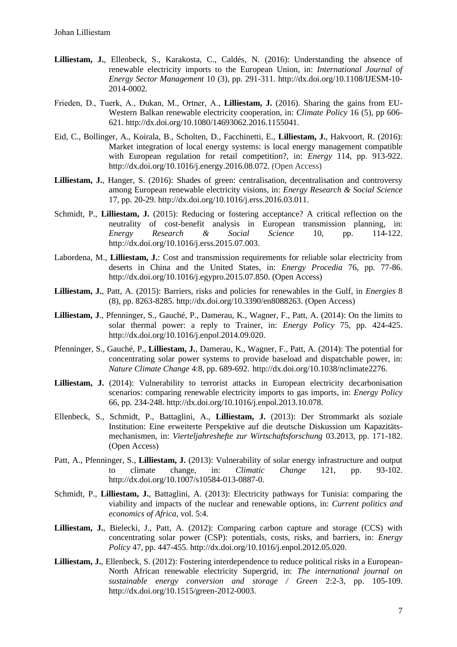- **Lilliestam, J.**, Ellenbeck, S., Karakosta, C., Caldés, N. (2016): Understanding the absence of renewable electricity imports to the European Union, in: *International Journal of Energy Sector Management* 10 (3), pp. 291-311. http://dx.doi.org/10.1108/IJESM-10- 2014-0002.
- Frieden, D., Tuerk, A., Đukan, M., Ortner, A., **Lilliestam, J.** (2016). Sharing the gains from EU-Western Balkan renewable electricity cooperation, in: *Climate Policy* 16 (5), pp 606- 621. http://dx.doi.org[/10.1080/14693062.2016.1155041.](http://dx.doi.org/10.1080/14693062.2016.1155041)
- Eid, C., Bollinger, A., Koirala, B., Scholten, D., Facchinetti, E., **Lilliestam, J.**, Hakvoort, R. (2016): Market integration of local energy systems: is local energy management compatible with European regulation for retail competition?, in: *Energy* 114, pp. 913-922. http://dx.doi.org/10.1016/j.energy.2016.08.072. (Open Access)
- **Lilliestam, J.**, Hanger, S. (2016): Shades of green: centralisation, decentralisation and controversy among European renewable electricity visions, in: *Energy Research & Social Science* 17, pp. 20-29. http://dx.doi.org/10.1016/j.erss.2016.03.011.
- Schmidt, P., **Lilliestam, J.** (2015): Reducing or fostering acceptance? A critical reflection on the neutrality of cost-benefit analysis in European transmission planning, in: *Energy Research & Social Science* 10, pp. 114-122. http://dx.doi.org/10.1016/j.erss.2015.07.003.
- Labordena, M., **Lilliestam, J.**: Cost and transmission requirements for reliable solar electricity from deserts in China and the United States, in: *Energy Procedia* 76, pp. 77-86. http://dx.doi.org/10.1016/j.egypro.2015.07.850. (Open Access)
- **Lilliestam, J.**, Patt, A. (2015): Barriers, risks and policies for renewables in the Gulf, in *Energies* 8 (8), pp. 8263-8285. http://dx.doi.org/10.3390/en8088263. (Open Access)
- **Lilliestam, J**., Pfenninger, S., Gauché, P., Damerau, K., Wagner, F., Patt, A. (2014): On the limits to solar thermal power: a reply to Trainer, in: *Energy Policy* 75, pp. 424-425. http://dx.doi.org/10.1016/j.enpol.2014.09.020.
- Pfenninger, S., Gauché, P., **Lilliestam, J.**, Damerau, K., Wagner, F., Patt, A. (2014): The potential for concentrating solar power systems to provide baseload and dispatchable power, in: *Nature Climate Change* 4:8, pp. 689-692. http://dx.doi.org/10.1038/nclimate2276.
- Lilliestam, J. (2014): Vulnerability to terrorist attacks in European electricity decarbonisation scenarios: comparing renewable electricity imports to gas imports*,* in: *Energy Policy* 66, pp. 234-248. http://dx.doi.org/10.1016/j.enpol.2013.10.078.
- Ellenbeck, S., Schmidt, P., Battaglini, A., **Lilliestam, J.** (2013): Der Strommarkt als soziale Institution: Eine erweiterte Perspektive auf die deutsche Diskussion um Kapazitätsmechanismen, in: *Vierteljahreshefte zur Wirtschaftsforschung* 03.2013, pp. 171-182. (Open Access)
- Patt, A., Pfenninger, S., **Lilliestam, J.** (2013): Vulnerability of solar energy infrastructure and output to climate change, in: *Climatic Change* 121, pp. 93-102. http://dx.doi.org/10.1007/s10584-013-0887-0.
- Schmidt, P., **Lilliestam, J.**, Battaglini, A. (2013): Electricity pathways for Tunisia: comparing the viability and impacts of the nuclear and renewable options, in: *Current politics and economics of Africa*, vol. 5:4.
- **Lilliestam, J.**, Bielecki, J., Patt, A. (2012): Comparing carbon capture and storage (CCS) with concentrating solar power (CSP): potentials, costs, risks, and barriers, in: *Energy Policy* 47, pp. 447-455. http://dx.doi.org/10.1016/j.enpol.2012.05.020.
- **Lilliestam, J.**, Ellenbeck, S. (2012): Fostering interdependence to reduce political risks in a European-North African renewable electricity Supergrid, in: *The international journal on sustainable energy conversion and storage / Green* 2:2-3, pp. 105-109. http://dx.doi.org/10.1515/green-2012-0003.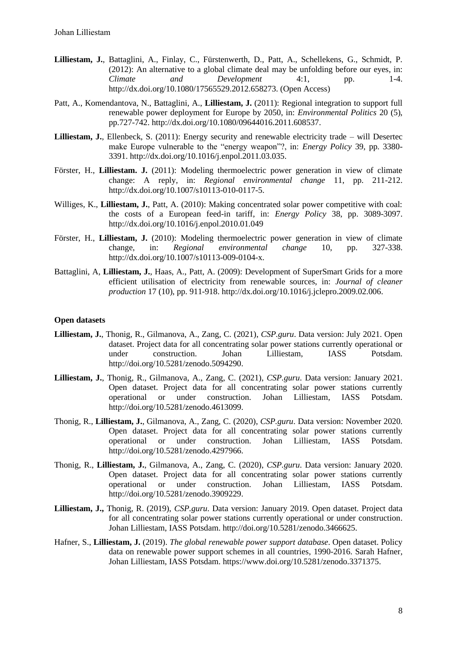- **Lilliestam, J.**, Battaglini, A., Finlay, C., Fürstenwerth, D., Patt, A., Schellekens, G., Schmidt, P. (2012): An alternative to a global climate deal may be unfolding before our eyes, in: *Climate and Development* 4:1, pp. 1-4. http://dx.doi.org/10.1080/17565529.2012.658273. (Open Access)
- Patt, A., Komendantova, N., Battaglini, A., **Lilliestam, J.** (2011): Regional integration to support full renewable power deployment for Europe by 2050, in: *Environmental Politics* 20 (5), pp.727-742. http://dx.doi.org/10.1080/09644016.2011.608537.
- **Lilliestam, J.**, Ellenbeck, S. (2011): Energy security and renewable electricity trade will Desertec make Europe vulnerable to the "energy weapon"?, in: *Energy Policy* 39, pp. 3380- 3391. http://dx.doi.org/10.1016/j.enpol.2011.03.035.
- Förster, H., **Lilliestam. J.** (2011): Modeling thermoelectric power generation in view of climate change: A reply, in: *Regional environmental change* 11, pp. 211-212. http://dx.doi.org/10.1007/s10113-010-0117-5.
- Williges, K., **Lilliestam, J.**, Patt, A. (2010): Making concentrated solar power competitive with coal: the costs of a European feed-in tariff, in: *Energy Policy* 38, pp. 3089-3097. http://dx.doi.org/10.1016/j.enpol.2010.01.049
- Förster, H., **Lilliestam, J.** (2010): Modeling thermoelectric power generation in view of climate change, in: *Regional environmental change* 10, pp. 327-338. http://dx.doi.org/10.1007/s10113-009-0104-x.
- Battaglini, A, **Lilliestam, J.**, Haas, A., Patt, A. (2009): Development of SuperSmart Grids for a more efficient utilisation of electricity from renewable sources, in: *Journal of cleaner production* 17 (10), pp. 911-918. http://dx.doi.org/10.1016/j.jclepro.2009.02.006.

#### **Open datasets**

- **Lilliestam, J.**, Thonig, R., Gilmanova, A., Zang, C. (2021), *CSP.guru*. Data version: July 2021. Open dataset. Project data for all concentrating solar power stations currently operational or under construction. Johan Lilliestam, IASS Potsdam. http://doi.org/10.5281/zenodo.5094290.
- **Lilliestam, J.**, Thonig, R., Gilmanova, A., Zang, C. (2021), *CSP.guru*. Data version: January 2021. Open dataset. Project data for all concentrating solar power stations currently operational or under construction. Johan Lilliestam, IASS Potsdam. http://doi.org/10.5281/zenodo.4613099.
- Thonig, R., **Lilliestam, J.**, Gilmanova, A., Zang, C. (2020), *CSP.guru*. Data version: November 2020. Open dataset. Project data for all concentrating solar power stations currently operational or under construction. Johan Lilliestam, IASS Potsdam. http://doi.org/10.5281/zenodo.4297966.
- Thonig, R., **Lilliestam, J.**, Gilmanova, A., Zang, C. (2020), *CSP.guru*. Data version: January 2020. Open dataset. Project data for all concentrating solar power stations currently operational or under construction. Johan Lilliestam, IASS Potsdam. http://doi.org/10.5281/zenodo.3909229.
- **Lilliestam, J.,** Thonig, R. (2019), *CSP.guru*. Data version: January 2019. Open dataset. Project data for all concentrating solar power stations currently operational or under construction. Johan Lilliestam, IASS Potsdam. http://doi.org/10.5281/zenodo.3466625.
- Hafner, S., **Lilliestam, J.** (2019). *The global renewable power support database*. Open dataset. Policy data on renewable power support schemes in all countries, 1990-2016. Sarah Hafner, Johan Lilliestam, IASS Potsdam. https://www.doi.org/10.5281/zenodo.3371375.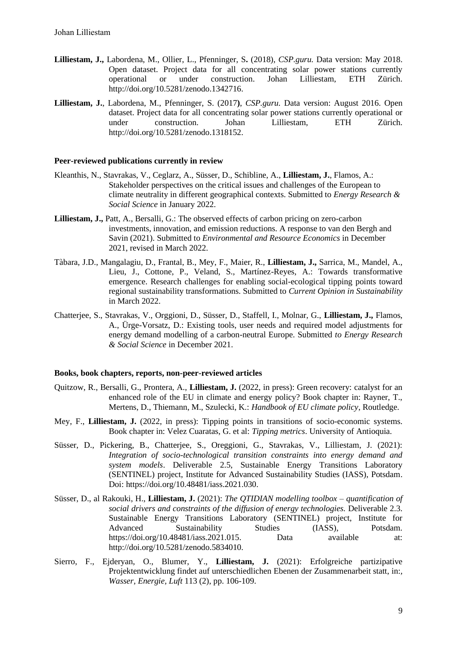- **Lilliestam, J.,** Labordena, M., Ollier, L., Pfenninger, S**.** (2018), *CSP.guru.* Data version: May 2018. Open dataset. Project data for all concentrating solar power stations currently operational or under construction. Johan Lilliestam, ETH Zürich. http://doi.org/10.5281/zenodo.1342716.
- **Lilliestam, J.**, Labordena, M., Pfenninger, S. (2017**)**, *CSP.guru.* Data version: August 2016. Open dataset. Project data for all concentrating solar power stations currently operational or under construction. Johan Lilliestam, ETH Zürich. http://doi.org/10.5281/zenodo.1318152.

#### **Peer-reviewed publications currently in review**

- Kleanthis, N., Stavrakas, V., Ceglarz, A., Süsser, D., Schibline, A., **Lilliestam, J.**, Flamos, A.: Stakeholder perspectives on the critical issues and challenges of the European to climate neutrality in different geographical contexts. Submitted to *Energy Research & Social Science* in January 2022.
- **Lilliestam, J.,** Patt, A., Bersalli, G.: The observed effects of carbon pricing on zero-carbon investments, innovation, and emission reductions. A response to van den Bergh and Savin (2021). Submitted to *Environmental and Resource Economics* in December 2021, revised in March 2022.
- Tàbara, J.D., Mangalagiu, D., Frantal, B., Mey, F., Maier, R., **Lilliestam, J.,** Sarrica, M., Mandel, A., Lieu, J., Cottone, P., Veland, S., Martínez-Reyes, A.: Towards transformative emergence. Research challenges for enabling social-ecological tipping points toward regional sustainability transformations. Submitted to *Current Opinion in Sustainability* in March 2022.
- Chatterjee, S., Stavrakas, V., Orggioni, D., Süsser, D., Staffell, I., Molnar, G., **Lilliestam, J.,** Flamos, A., Ürge-Vorsatz, D.: Existing tools, user needs and required model adjustments for energy demand modelling of a carbon-neutral Europe. Submitted *to Energy Research & Social Science* in December 2021.

#### **Books, book chapters, reports, non-peer-reviewed articles**

- Quitzow, R., Bersalli, G., Prontera, A., **Lilliestam, J.** (2022, in press): Green recovery: catalyst for an enhanced role of the EU in climate and energy policy? Book chapter in: Rayner, T., Mertens, D., Thiemann, M., Szulecki, K.: *Handbook of EU climate policy*, Routledge.
- Mey, F., **Lilliestam, J.** (2022, in press): Tipping points in transitions of socio-economic systems. Book chapter in: Velez Cuaratas, G. et al: *Tipping metrics*. University of Antioquia.
- Süsser, D., Pickering, B., Chatterjee, S., Oreggioni, G., Stavrakas, V., Lilliestam, J. (2021): *Integration of socio-technological transition constraints into energy demand and system models*. Deliverable 2.5, Sustainable Energy Transitions Laboratory (SENTINEL) project, Institute for Advanced Sustainability Studies (IASS), Potsdam. Doi: https://doi*.*org/10.48481/iass.2021.030.
- Süsser, D., al Rakouki, H., **Lilliestam, J.** (2021): *The QTIDIAN modelling toolbox – quantification of social drivers and constraints of the diffusion of energy technologies.* Deliverable 2.3. Sustainable Energy Transitions Laboratory (SENTINEL) project, Institute for Advanced Sustainability Studies (IASS), Potsdam. https://doi*.*org/10.48481/iass.2021.015. Data available at: http://doi.org/10.5281/zenodo.5834010.
- Sierro, F., Ejderyan, O., Blumer, Y., **Lilliestam, J.** (2021): Erfolgreiche partizipative Projektentwicklung findet auf unterschiedlichen Ebenen der Zusammenarbeit statt, in:*, Wasser, Energie, Luft* 113 (2), pp. 106-109.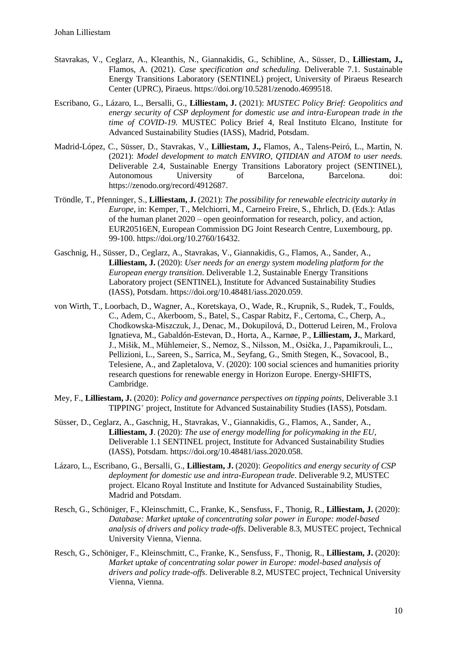- Stavrakas, V., Ceglarz, A., Kleanthis, N., Giannakidis, G., Schibline, A., Süsser, D., **Lilliestam, J.,**  Flamos, A. (2021). *Case specification and scheduling.* Deliverable 7.1. Sustainable Energy Transitions Laboratory (SENTINEL) project, University of Piraeus Research Center (UPRC), Piraeus. https://doi.org/10.5281/zenodo.4699518.
- Escribano, G., Lázaro, L., Bersalli, G., **Lilliestam, J.** (2021): *MUSTEC Policy Brief: Geopolitics and energy security of CSP deployment for domestic use and intra-European trade in the time of COVID-19.* MUSTEC Policy Brief 4, Real Instituto Elcano, Institute for Advanced Sustainability Studies (IASS), Madrid, Potsdam.
- Madrid-López, C., Süsser, D., Stavrakas, V., **Lilliestam, J.,** Flamos, A., Talens-Peiró, L., Martin, N. (2021): *Model development to match ENVIRO, QTIDIAN and ATOM to user needs.*  Deliverable 2.4, Sustainable Energy Transitions Laboratory project (SENTINEL), Autonomous University of Barcelona, Barcelona. doi: https://zenodo.org/record/4912687.
- Tröndle, T., Pfenninger, S., **Lilliestam, J.** (2021): *The possibility for renewable electricity autarky in Europe*, in: Kemper, T., Melchiorri, M., Carneiro Freire, S., Ehrlich, D. (Eds.): Atlas of the human planet 2020 – open geoinformation for research, policy, and action, EUR20516EN, European Commission DG Joint Research Centre, Luxembourg, pp. 99-100. https://doi*.*org/10.2760/16432.
- Gaschnig, H., Süsser, D., Ceglarz, A., Stavrakas, V., Giannakidis, G., Flamos, A., Sander, A., **Lilliestam, J.** (2020): *User needs for an energy system modeling platform for the European energy transition*. Deliverable 1.2, Sustainable Energy Transitions Laboratory project (SENTINEL), Institute for Advanced Sustainability Studies (IASS), Potsdam. https://doi.org/10.48481/iass.2020.059.
- von Wirth, T., Loorbach, D., Wagner, A., Koretskaya, O., Wade, R., Krupnik, S., Rudek, T., Foulds, C., Adem, C., Akerboom, S., Batel, S., Caspar Rabitz, F., Certoma, C., Cherp, A., Chodkowska-Miszczuk, J., Denac, M., Dokupilová, D., Dotterud Leiren, M., Frolova Ignatieva, M., Gabaldón-Estevan, D., Horta, A., Karnøe, P., **Lilliestam, J.**, Markard, J., Mišik, M., Mühlemeier, S., Nemoz, S., Nilsson, M., Osička, J., Papamikrouli, L., Pellizioni, L., Sareen, S., Sarrica, M., Seyfang, G., Smith Stegen, K., Sovacool, B., Telesiene, A., and Zapletalova, V. (2020): 100 social sciences and humanities priority research questions for renewable energy in Horizon Europe. Energy-SHIFTS, Cambridge.
- Mey, F., **Lilliestam, J.** (2020): *Policy and governance perspectives on tipping points*, Deliverable 3.1 TIPPING<sup>+</sup> project, Institute for Advanced Sustainability Studies (IASS), Potsdam.
- Süsser, D., Ceglarz, A., Gaschnig, H., Stavrakas, V., Giannakidis, G., Flamos, A., Sander, A., **Lilliestam, J**. (2020): *The use of energy modelling for policymaking in the EU*, Deliverable 1.1 SENTINEL project, Institute for Advanced Sustainability Studies (IASS), Potsdam. https://doi.org/10.48481/iass.2020.058.
- Lázaro, L., Escribano, G., Bersalli, G., **Lilliestam, J.** (2020): *Geopolitics and energy security of CSP deployment for domestic use and intra-European trade*. Deliverable 9.2, MUSTEC project. Elcano Royal Institute and Institute for Advanced Sustainability Studies, Madrid and Potsdam.
- Resch, G., Schöniger, F., Kleinschmitt, C., Franke, K., Sensfuss, F., Thonig, R., **Lilliestam, J.** (2020): *Database: Market uptake of concentrating solar power in Europe: model-based analysis of drivers and policy trade-offs*. Deliverable 8.3, MUSTEC project, Technical University Vienna, Vienna.
- Resch, G., Schöniger, F., Kleinschmitt, C., Franke, K., Sensfuss, F., Thonig, R., **Lilliestam, J.** (2020): *Market uptake of concentrating solar power in Europe: model-based analysis of drivers and policy trade-offs*. Deliverable 8.2, MUSTEC project, Technical University Vienna, Vienna.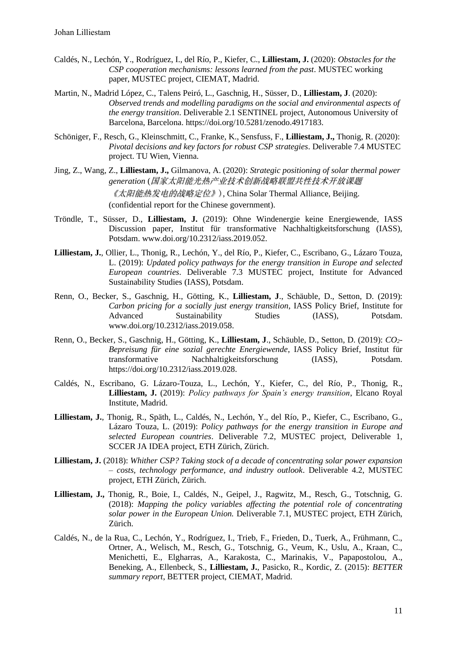- Caldés, N., Lechón, Y., Rodríguez, I., del Río, P., Kiefer, C., **Lilliestam, J.** (2020): *Obstacles for the CSP cooperation mechanisms: lessons learned from the past*. MUSTEC working paper, MUSTEC project, CIEMAT, Madrid.
- Martin, N., Madrid López, C., Talens Peiró, L., Gaschnig, H., Süsser, D., **Lilliestam, J**. (2020): *Observed trends and modelling paradigms on the social and environmental aspects of the energy transition*. Deliverable 2.1 SENTINEL project, Autonomous University of Barcelona, Barcelona. https://doi.org/10.5281/zenodo.4917183.
- Schöniger, F., Resch, G., Kleinschmitt, C., Franke, K., Sensfuss, F., **Lilliestam, J.,** Thonig, R. (2020): *Pivotal decisions and key factors for robust CSP strategies*. Deliverable 7.4 MUSTEC project. TU Wien, Vienna.
- Jing, Z., Wang, Z., **Lilliestam, J.,** Gilmanova, A. (2020): *Strategic positioning of solar thermal power generation* (国家太阳能光热产业技术创新战略联盟共性技术开放课题 《太阳能热发电的战略定位》), China Solar Thermal Alliance, Beijing. (confidential report for the Chinese government).
- Tröndle, T., Süsser, D., **Lilliestam, J.** (2019): Ohne Windenergie keine Energiewende, IASS Discussion paper, Institut für transformative Nachhaltigkeitsforschung (IASS), Potsdam. www.doi.org/10.2312/iass.2019.052.
- **Lilliestam, J.**, Ollier, L., Thonig, R., Lechón, Y., del Río, P., Kiefer, C., Escribano, G., Lázaro Touza, L. (2019): *Updated policy pathways for the energy transition in Europe and selected European countries*. Deliverable 7.3 MUSTEC project, Institute for Advanced Sustainability Studies (IASS), Potsdam.
- Renn, O., Becker, S., Gaschnig, H., Götting, K., **Lilliestam, J**., Schäuble, D., Setton, D. (2019): *Carbon pricing for a socially just energy transition*, IASS Policy Brief, Institute for Advanced Sustainability Studies (IASS), Potsdam. www.doi.org/10.2312/iass.2019.058.
- Renn, O., Becker, S., Gaschnig, H., Götting, K., **Lilliestam, J**., Schäuble, D., Setton, D. (2019): *CO2- Bepreisung für eine sozial gerechte Energiewende*, IASS Policy Brief, Institut für transformative Nachhaltigkeitsforschung (IASS), Potsdam. https://doi.org/10.2312/iass.2019.028.
- Caldés, N., Escribano, G. Lázaro-Touza, L., Lechón, Y., Kiefer, C., del Río, P., Thonig, R., **Lilliestam, J.** (2019): *Policy pathways for Spain's energy transition*, Elcano Royal Institute, Madrid.
- **Lilliestam, J.**, Thonig, R., Späth, L., Caldés, N., Lechón, Y., del Río, P., Kiefer, C., Escribano, G., Lázaro Touza, L. (2019): *Policy pathways for the energy transition in Europe and selected European countries*. Deliverable 7.2, MUSTEC project, Deliverable 1, SCCER JA IDEA project, ETH Zürich, Zürich.
- **Lilliestam, J.** (2018): *Whither CSP? Taking stock of a decade of concentrating solar power expansion – costs, technology performance, and industry outlook*. Deliverable 4.2, MUSTEC project, ETH Zürich, Zürich.
- **Lilliestam, J.,** Thonig, R., Boie, I., Caldés, N., Geipel, J., Ragwitz, M., Resch, G., Totschnig, G. (2018): *Mapping the policy variables affecting the potential role of concentrating solar power in the European Union.* Deliverable 7.1, MUSTEC project, ETH Zürich, Zürich.
- Caldés, N., de la Rua, C., Lechón, Y., Rodríguez, I., Trieb, F., Frieden, D., Tuerk, A., Frühmann, C., Ortner, A., Welisch, M., Resch, G., Totschnig, G., Veum, K., Uslu, A., Kraan, C., Menichetti, E., Elgharras, A., Karakosta, C., Marinakis, V., Papapostolou, A., Beneking, A., Ellenbeck, S., **Lilliestam, J.**, Pasicko, R., Kordic, Z. (2015): *BETTER summary report*, BETTER project, CIEMAT, Madrid.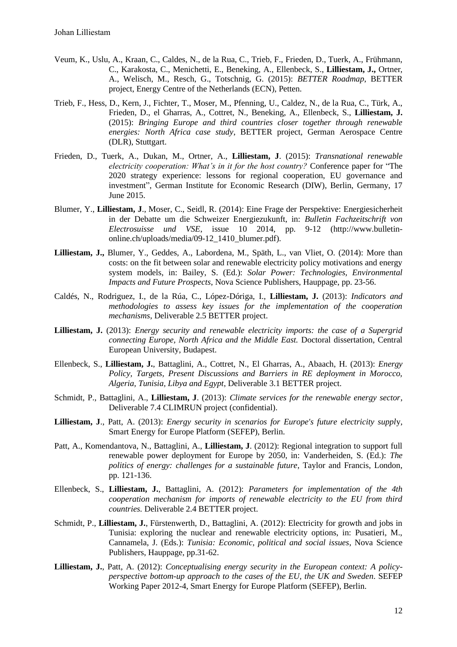- Veum, K., Uslu, A., Kraan, C., Caldes, N., de la Rua, C., Trieb, F., Frieden, D., Tuerk, A., Frühmann, C., Karakosta, C., Menichetti, E., Beneking, A., Ellenbeck, S., **Lilliestam, J.,** Ortner, A., Welisch, M., Resch, G., Totschnig, G. (2015): *BETTER Roadmap*, BETTER project, Energy Centre of the Netherlands (ECN), Petten.
- Trieb, F., Hess, D., Kern, J., Fichter, T., Moser, M., Pfenning, U., Caldez, N., de la Rua, C., Türk, A., Frieden, D., el Gharras, A., Cottret, N., Beneking, A., Ellenbeck, S., **Lilliestam, J.** (2015): *Bringing Europe and third countries closer together through renewable energies: North Africa case study*, BETTER project, German Aerospace Centre (DLR), Stuttgart.
- Frieden, D., Tuerk, A., Dukan, M., Ortner, A., **Lilliestam, J**. (2015): *Transnational renewable electricity cooperation: What's in it for the host country?* Conference paper for "The 2020 strategy experience: lessons for regional cooperation, EU governance and investment", German Institute for Economic Research (DIW), Berlin, Germany, 17 June 2015.
- Blumer, Y., **Lilliestam, J**., Moser, C., Seidl, R. (2014): Eine Frage der Perspektive: Energiesicherheit in der Debatte um die Schweizer Energiezukunft, in: *Bulletin Fachzeitschrift von Electrosuisse und VSE*, issue 10 2014, pp. 9-12 (http://www.bulletinonline.ch/uploads/media/09-12\_1410\_blumer.pdf).
- **Lilliestam, J.,** Blumer, Y., Geddes, A., Labordena, M., Späth, L., van Vliet, O. (2014): More than costs: on the fit between solar and renewable electricity policy motivations and energy system models, in: Bailey, S. (Ed.): *Solar Power: Technologies, Environmental Impacts and Future Prospects*, Nova Science Publishers, Hauppage, pp. 23-56.
- Caldés, N., Rodriguez, I., de la Rúa, C., López-Dóriga, I., **Lilliestam, J.** (2013): *Indicators and methodologies to assess key issues for the implementation of the cooperation mechanisms*, Deliverable 2.5 BETTER project.
- **Lilliestam, J.** (2013): *Energy security and renewable electricity imports: the case of a Supergrid connecting Europe, North Africa and the Middle East.* Doctoral dissertation, Central European University, Budapest.
- Ellenbeck, S., **Lilliestam, J.**, Battaglini, A., Cottret, N., El Gharras, A., Abaach, H. (2013): *Energy Policy, Targets, Present Discussions and Barriers in RE deployment in Morocco, Algeria, Tunisia, Libya and Egypt*, Deliverable 3.1 BETTER project.
- Schmidt, P., Battaglini, A., **Lilliestam, J**. (2013): *Climate services for the renewable energy sector*, Deliverable 7.4 CLIMRUN project (confidential).
- **Lilliestam, J**., Patt, A. (2013): *Energy security in scenarios for Europe's future electricity suppl*y, Smart Energy for Europe Platform (SEFEP), Berlin.
- Patt, A., Komendantova, N., Battaglini, A., **Lilliestam, J**. (2012): Regional integration to support full renewable power deployment for Europe by 2050, in: Vanderheiden, S. (Ed.): *The politics of energy: challenges for a sustainable future*, Taylor and Francis, London, pp. 121-136.
- Ellenbeck, S., **Lilliestam, J.**, Battaglini, A. (2012): *Parameters for implementation of the 4th cooperation mechanism for imports of renewable electricity to the EU from third countries.* Deliverable 2.4 BETTER project.
- Schmidt, P., **Lilliestam, J.**, Fürstenwerth, D., Battaglini, A. (2012): Electricity for growth and jobs in Tunisia: exploring the nuclear and renewable electricity options, in: Pusatieri, M., Cannamela, J. (Eds.): *Tunisia: Economic, political and social issues*, Nova Science Publishers, Hauppage, pp.31-62.
- **Lilliestam, J.**, Patt, A. (2012): *Conceptualising energy security in the European context: A policyperspective bottom-up approach to the cases of the EU, the UK and Sweden*. SEFEP Working Paper 2012-4, Smart Energy for Europe Platform (SEFEP), Berlin.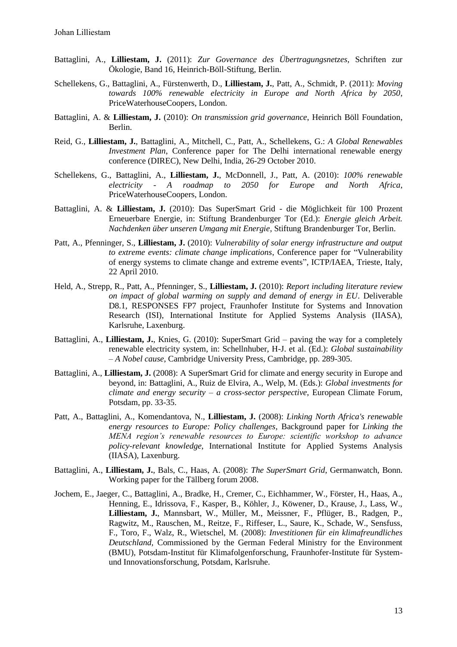- Battaglini, A., **Lilliestam, J.** (2011): *Zur Governance des Übertragungsnetzes*, Schriften zur Ökologie, Band 16, Heinrich-Böll-Stiftung, Berlin.
- Schellekens, G., Battaglini, A., Fürstenwerth, D., **Lilliestam, J.**, Patt, A., Schmidt, P. (2011): *Moving towards 100% renewable electricity in Europe and North Africa by 2050*, PriceWaterhouseCoopers, London.
- Battaglini, A. & **Lilliestam, J.** (2010): *On transmission grid governance*, Heinrich Böll Foundation, Berlin.
- Reid, G., **Lilliestam, J.**, Battaglini, A., Mitchell, C., Patt, A., Schellekens, G.: *A Global Renewables Investment Plan*, Conference paper for The Delhi international renewable energy conference (DIREC), New Delhi, India, 26-29 October 2010.
- Schellekens, G., Battaglini, A., **Lilliestam, J.**, McDonnell, J., Patt, A. (2010): *100% renewable electricity - A roadmap to 2050 for Europe and North Africa*, PriceWaterhouseCoopers, London.
- Battaglini, A. & **Lilliestam, J.** (2010): Das SuperSmart Grid die Möglichkeit für 100 Prozent Erneuerbare Energie, in: Stiftung Brandenburger Tor (Ed.): *Energie gleich Arbeit. Nachdenken über unseren Umgang mit Energie*, Stiftung Brandenburger Tor, Berlin.
- Patt, A., Pfenninger, S., **Lilliestam, J.** (2010): *Vulnerability of solar energy infrastructure and output to extreme events: climate change implications*, Conference paper for "Vulnerability of energy systems to climate change and extreme events", ICTP/IAEA, Trieste, Italy, 22 April 2010.
- Held, A., Strepp, R., Patt, A., Pfenninger, S., **Lilliestam, J.** (2010): *Report including literature review on impact of global warming on supply and demand of energy in EU*. Deliverable D8.1, RESPONSES FP7 project, Fraunhofer Institute for Systems and Innovation Research (ISI), International Institute for Applied Systems Analysis (IIASA), Karlsruhe, Laxenburg.
- Battaglini, A., **Lilliestam, J.**, Knies, G. (2010): SuperSmart Grid paving the way for a completely renewable electricity system, in: Schellnhuber, H-J. et al. (Ed.): *Global sustainability – A Nobel cause*, Cambridge University Press, Cambridge, pp. 289-305.
- Battaglini, A., **Lilliestam, J.** (2008): A SuperSmart Grid for climate and energy security in Europe and beyond, in: Battaglini, A., Ruiz de Elvira, A., Welp, M. (Eds.): *Global investments for climate and energy security – a cross-sector perspective*, European Climate Forum, Potsdam, pp. 33-35.
- Patt, A., Battaglini, A., Komendantova, N., **Lilliestam, J.** (2008): *Linking North Africa's renewable energy resources to Europe: Policy challenges*, Background paper for *Linking the MENA region's renewable resources to Europe: scientific workshop to advance policy-relevant knowledge*, International Institute for Applied Systems Analysis (IIASA), Laxenburg.
- Battaglini, A., **Lilliestam, J.**, Bals, C., Haas, A. (2008): *The SuperSmart Grid*, Germanwatch, Bonn. Working paper for the Tällberg forum 2008.
- Jochem, E., Jaeger, C., Battaglini, A., Bradke, H., Cremer, C., Eichhammer, W., Förster, H., Haas, A., Henning, E., Idrissova, F., Kasper, B., Köhler, J., Köwener, D., Krause, J., Lass, W., **Lilliestam, J.**, Mannsbart, W., Müller, M., Meissner, F., Pflüger, B., Radgen, P., Ragwitz, M., Rauschen, M., Reitze, F., Riffeser, L., Saure, K., Schade, W., Sensfuss, F., Toro, F., Walz, R., Wietschel, M. (2008): *Investitionen für ein klimafreundliches Deutschland,* Commissioned by the German Federal Ministry for the Environment (BMU), Potsdam-Institut für Klimafolgenforschung, Fraunhofer-Institute für Systemund Innovationsforschung, Potsdam, Karlsruhe.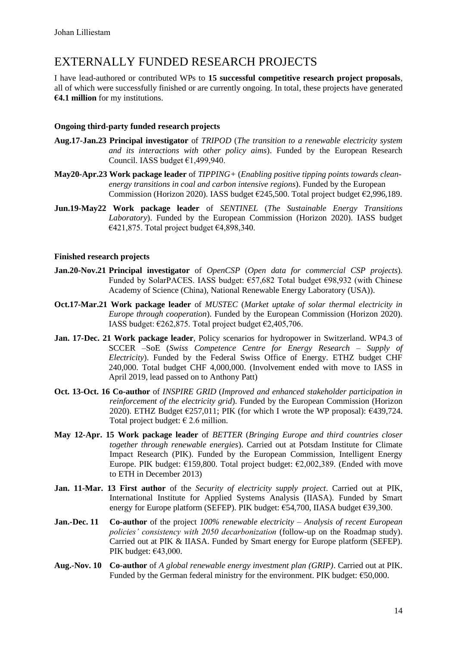# EXTERNALLY FUNDED RESEARCH PROJECTS

I have lead-authored or contributed WPs to **15 successful competitive research project proposals**, all of which were successfully finished or are currently ongoing. In total, these projects have generated **€4.1 million** for my institutions.

#### **Ongoing third-party funded research projects**

- **Aug.17-Jan.23 Principal investigator** of *TRIPOD* (*The transition to a renewable electricity system and its interactions with other policy aims*). Funded by the European Research Council. IASS budget €1,499,940.
- **May20-Apr.23 Work package leader** of *TIPPING+* (*Enabling positive tipping points towards cleanenergy transitions in coal and carbon intensive regions*). Funded by the European Commission (Horizon 2020). IASS budget €245,500. Total project budget €2,996,189.
- **Jun.19-May22 Work package leader** of *SENTINEL* (*The Sustainable Energy Transitions Laboratory*). Funded by the European Commission (Horizon 2020). IASS budget €421,875. Total project budget €4,898,340.

#### **Finished research projects**

- **Jan.20-Nov.21 Principal investigator** of *OpenCSP* (*Open data for commercial CSP projects*)*.* Funded by SolarPACES. IASS budget: €57,682 Total budget €98,932 (with Chinese Academy of Science (China), National Renewable Energy Laboratory (USA)).
- **Oct.17-Mar.21 Work package leader** of *MUSTEC* (*Market uptake of solar thermal electricity in Europe through cooperation*). Funded by the European Commission (Horizon 2020). IASS budget:  $\epsilon$ 262,875. Total project budget  $\epsilon$ 2,405,706.
- **Jan. 17-Dec. 21 Work package leader**, Policy scenarios for hydropower in Switzerland. WP4.3 of SCCER –SoE (*Swiss Competence Centre for Energy Research – Supply of Electricity*). Funded by the Federal Swiss Office of Energy. ETHZ budget CHF 240,000. Total budget CHF 4,000,000. (Involvement ended with move to IASS in April 2019, lead passed on to Anthony Patt)
- **Oct. 13-Oct. 16 Co-author** of *INSPIRE GRID* (*Improved and enhanced stakeholder participation in reinforcement of the electricity grid*). Funded by the European Commission (Horizon 2020). ETHZ Budget  $\epsilon$ 257,011; PIK (for which I wrote the WP proposal):  $\epsilon$ 439,724. Total project budget:  $\epsilon$  2.6 million.
- **May 12-Apr. 15 Work package leader** of *BETTER* (*Bringing Europe and third countries closer together through renewable energies*). Carried out at Potsdam Institute for Climate Impact Research (PIK). Funded by the European Commission, Intelligent Energy Europe. PIK budget:  $\epsilon$ 159,800. Total project budget:  $\epsilon$ 2,002,389. (Ended with move to ETH in December 2013)
- **Jan. 11-Mar. 13 First author** of the *Security of electricity supply project*. Carried out at PIK, International Institute for Applied Systems Analysis (IIASA). Funded by Smart energy for Europe platform (SEFEP). PIK budget: €54,700, IIASA budget €39,300.
- **Jan.-Dec. 11 Co-author** of the project *100% renewable electricity – Analysis of recent European policies' consistency with 2050 decarbonization* (follow-up on the Roadmap study). Carried out at PIK & IIASA. Funded by Smart energy for Europe platform (SEFEP). PIK budget:  $\epsilon$ 43,000.
- **Aug.-Nov. 10 Co-author** of *A global renewable energy investment plan (GRIP)*. Carried out at PIK. Funded by the German federal ministry for the environment. PIK budget:  $€50,000$ .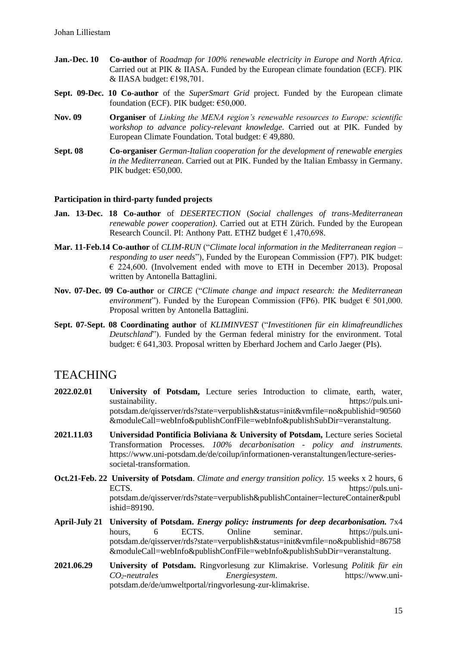- **Jan.-Dec. 10 Co-author** of *Roadmap for 100% renewable electricity in Europe and North Africa*. Carried out at PIK & IIASA. Funded by the European climate foundation (ECF). PIK & IIASA budget: €198,701.
- **Sept. 09-Dec. 10 Co-author** of the *SuperSmart Grid* project. Funded by the European climate foundation (ECF). PIK budget:  $€50,000$ .
- **Nov. 09 Organiser** of *Linking the MENA region's renewable resources to Europe: scientific workshop to advance policy-relevant knowledge*. Carried out at PIK. Funded by European Climate Foundation. Total budget:  $\epsilon$  49,880.
- **Sept. 08 Co-organiser** *German-Italian cooperation for the development of renewable energies in the Mediterranean*. Carried out at PIK. Funded by the Italian Embassy in Germany. PIK budget: €50,000.

#### **Participation in third-party funded projects**

- **Jan. 13-Dec. 18 Co-author** of *DESERTECTION* (*Social challenges of trans-Mediterranean renewable power cooperation)*. Carried out at ETH Zürich. Funded by the European Research Council. PI: Anthony Patt. ETHZ budget  $\epsilon$  1,470,698.
- **Mar. 11-Feb.14 Co-author** of *CLIM-RUN* ("*Climate local information in the Mediterranean region – responding to user needs*"), Funded by the European Commission (FP7). PIK budget:  $\epsilon$  224,600. (Involvement ended with move to ETH in December 2013). Proposal written by Antonella Battaglini.
- **Nov. 07-Dec. 09 Co-author** or *CIRCE* ("*Climate change and impact research: the Mediterranean environment*"). Funded by the European Commission (FP6). PIK budget  $\epsilon$  501,000. Proposal written by Antonella Battaglini.
- **Sept. 07-Sept. 08 Coordinating author** of *KLIMINVEST* ("*Investitionen für ein klimafreundliches Deutschland*"). Funded by the German federal ministry for the environment. Total budget:  $\epsilon$  641,303. Proposal written by Eberhard Jochem and Carlo Jaeger (PIs).

### **TEACHING**

- **2022.02.01 University of Potsdam,** Lecture series Introduction to climate, earth, water, sustainability. https://puls.unipotsdam.de/qisserver/rds?state=verpublish&status=init&vmfile=no&publishid=90560 &moduleCall=webInfo&publishConfFile=webInfo&publishSubDir=veranstaltung.
- **2021.11.03 Universidad Pontificia Boliviana & University of Potsdam,** Lecture series Societal Transformation Processes. *100% decarbonisation - policy and instruments.*  https://www.uni-potsdam.de/de/coilup/informationen-veranstaltungen/lecture-seriessocietal-transformation.
- **Oct.21-Feb. 22 University of Potsdam**. *Climate and energy transition policy.* 15 weeks x 2 hours, 6 ECTS. potsdam.de/qisserver/rds?state=verpublish&publishContainer=lectureContainer&publ ishid=89190.
- **April-July 21 University of Potsdam.** *Energy policy: instruments for deep decarbonisation.* 7x4 hours, 6 ECTS. Online seminar. https://puls.unipotsdam.de/qisserver/rds?state=verpublish&status=init&vmfile=no&publishid=86758 &moduleCall=webInfo&publishConfFile=webInfo&publishSubDir=veranstaltung.
- **2021.06.29 University of Potsdam.** Ringvorlesung zur Klimakrise. Vorlesung *Politik für ein CO2-neutrales Energiesystem*. https://www.unipotsdam.de/de/umweltportal/ringvorlesung-zur-klimakrise.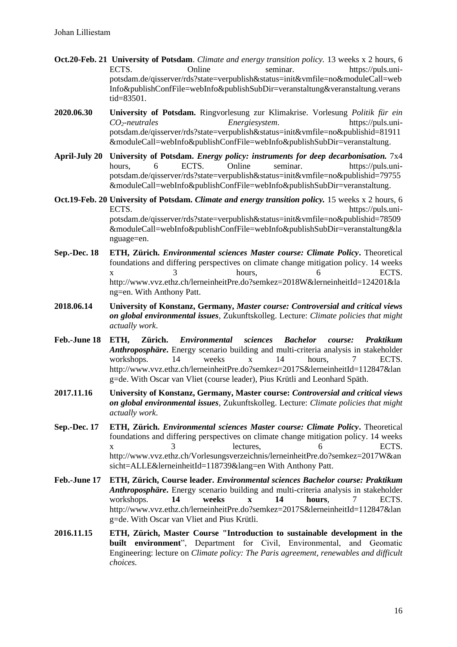- **Oct.20-Feb. 21 University of Potsdam**. *Climate and energy transition policy.* 13 weeks x 2 hours, 6 ECTS. Online seminar. https://puls.unipotsdam.de/qisserver/rds?state=verpublish&status=init&vmfile=no&moduleCall=web Info&publishConfFile=webInfo&publishSubDir=veranstaltung&veranstaltung.verans tid=83501.
- **2020.06.30 University of Potsdam.** Ringvorlesung zur Klimakrise. Vorlesung *Politik für ein CO2-neutrales Energiesystem*. https://puls.unipotsdam.de/qisserver/rds?state=verpublish&status=init&vmfile=no&publishid=81911 &moduleCall=webInfo&publishConfFile=webInfo&publishSubDir=veranstaltung.
- **April-July 20 University of Potsdam.** *Energy policy: instruments for deep decarbonisation.* 7x4 hours. 6 ECTS. Online seminar. https://puls.unipotsdam.de/qisserver/rds?state=verpublish&status=init&vmfile=no&publishid=79755 &moduleCall=webInfo&publishConfFile=webInfo&publishSubDir=veranstaltung.

**Oct.19-Feb. 20 University of Potsdam.** *Climate and energy transition policy.* 15 weeks x 2 hours, 6 ECTS. potsdam.de/qisserver/rds?state=verpublish&status=init&vmfile=no&publishid=78509 &moduleCall=webInfo&publishConfFile=webInfo&publishSubDir=veranstaltung&la nguage=en.

- **Sep.-Dec. 18 ETH, Zürich.** *Environmental sciences Master course: Climate Policy***.** Theoretical foundations and differing perspectives on climate change mitigation policy. 14 weeks x 3 hours, 6 ECTS. http://www.vvz.ethz.ch/lerneinheitPre.do?semkez=2018W&lerneinheitId=124201&la ng=en. With Anthony Patt.
- **2018.06.14 University of Konstanz, Germany,** *Master course: Controversial and critical views on global environmental issues*, Zukunftskolleg. Lecture: *Climate policies that might actually work*.
- **Feb.-June 18 ETH, Zürich.** *Environmental sciences Bachelor course: Praktikum Anthroposphäre***.** Energy scenario building and multi-criteria analysis in stakeholder workshops. 14 weeks x 14 hours, 7 ECTS. http://www.vvz.ethz.ch/lerneinheitPre.do?semkez=2017S&lerneinheitId=112847&lan g=de. With Oscar van Vliet (course leader), Pius Krütli and Leonhard Späth.
- **2017.11.16 University of Konstanz, Germany, Master course:** *Controversial and critical views on global environmental issues*, Zukunftskolleg. Lecture: *Climate policies that might actually work*.
- **Sep.-Dec. 17 ETH, Zürich.** *Environmental sciences Master course: Climate Policy***.** Theoretical foundations and differing perspectives on climate change mitigation policy. 14 weeks x 3 lectures, 6 ECTS. http://www.vvz.ethz.ch/Vorlesungsverzeichnis/lerneinheitPre.do?semkez=2017W&an sicht=ALLE&lerneinheitId=118739&lang=en With Anthony Patt.
- **Feb.-June 17 ETH, Zürich, Course leader.** *Environmental sciences Bachelor course: Praktikum Anthroposphäre***.** Energy scenario building and multi-criteria analysis in stakeholder workshops. **14 weeks x 14 hours**, 7 ECTS. http://www.vvz.ethz.ch/lerneinheitPre.do?semkez=2017S&lerneinheitId=112847&lan g=de. With Oscar van Vliet and Pius Krütli.
- **2016.11.15 ETH, Zürich, Master Course "Introduction to sustainable development in the built environment**", Department for Civil, Environmental, and Geomatic Engineering: lecture on *Climate policy: The Paris agreement, renewables and difficult choices.*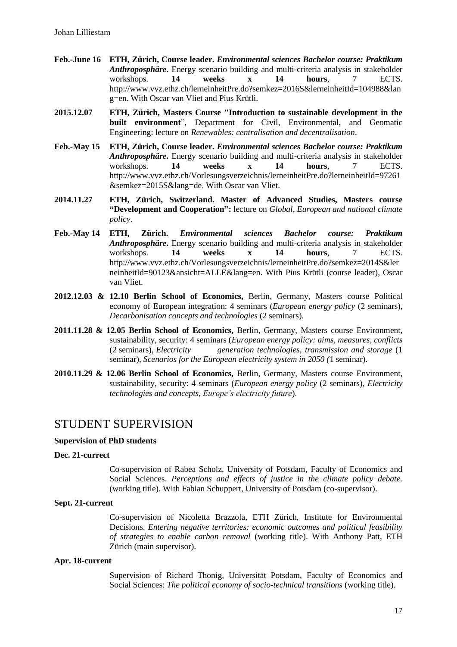- **Feb.-June 16 ETH, Zürich, Course leader.** *Environmental sciences Bachelor course: Praktikum Anthroposphäre***.** Energy scenario building and multi-criteria analysis in stakeholder workshops. **14 weeks x 14 hours**, 7 ECTS. http://www.vvz.ethz.ch/lerneinheitPre.do?semkez=2016S&lerneinheitId=104988&lan g=en. With Oscar van Vliet and Pius Krütli.
- **2015.12.07 ETH, Zürich, Masters Course "Introduction to sustainable development in the built environment**", Department for Civil, Environmental, and Geomatic Engineering: lecture on *Renewables: centralisation and decentralisation*.
- **Feb.-May 15 ETH, Zürich, Course leader.** *Environmental sciences Bachelor course: Praktikum Anthroposphäre***.** Energy scenario building and multi-criteria analysis in stakeholder workshops. **14 weeks x 14 hours**, 7 ECTS. http://www.vvz.ethz.ch/Vorlesungsverzeichnis/lerneinheitPre.do?lerneinheitId=97261 &semkez=2015S&lang=de. With Oscar van Vliet.
- **2014.11.27 ETH, Zürich, Switzerland. Master of Advanced Studies, Masters course "Development and Cooperation":** lecture on *Global, European and national climate policy*.
- **Feb.-May 14 ETH, Zürich.** *Environmental sciences Bachelor course: Praktikum Anthroposphäre***.** Energy scenario building and multi-criteria analysis in stakeholder workshops. **14 weeks x 14 hours**, 7 ECTS. http://www.vvz.ethz.ch/Vorlesungsverzeichnis/lerneinheitPre.do?semkez=2014S&ler neinheitId=90123&ansicht=ALLE&lang=en. With Pius Krütli (course leader), Oscar van Vliet.
- **2012.12.03 & 12.10 Berlin School of Economics,** Berlin, Germany, Masters course Political economy of European integration: 4 seminars (*European energy policy* (2 seminars), *Decarbonisation concepts and technologies* (2 seminars).
- **2011.11.28 & 12.05 Berlin School of Economics,** Berlin, Germany, Masters course Environment, sustainability, security: 4 seminars (*European energy policy: aims, measures, conflicts* (2 seminars), *Electricity generation technologies, transmission and storage* (1 seminar), *Scenarios for the European electricity system in 2050 (*1 seminar).
- **2010.11.29 & 12.06 Berlin School of Economics,** Berlin, Germany, Masters course Environment, sustainability, security: 4 seminars (*European energy policy* (2 seminars), *Electricity technologies and concepts*, *Europe's electricity future*).

## STUDENT SUPERVISION

#### **Supervision of PhD students**

#### **Dec. 21-currect**

Co-supervision of Rabea Scholz, University of Potsdam, Faculty of Economics and Social Sciences. *Perceptions and effects of justice in the climate policy debate.* (working title). With Fabian Schuppert, University of Potsdam (co-supervisor).

#### **Sept. 21-current**

Co-supervision of Nicoletta Brazzola, ETH Zürich, Institute for Environmental Decisions. *Entering negative territories: economic outcomes and political feasibility of strategies to enable carbon removal* (working title). With Anthony Patt, ETH Zürich (main supervisor).

#### **Apr. 18-current**

Supervision of Richard Thonig, Universität Potsdam, Faculty of Economics and Social Sciences: *The political economy of socio-technical transitions* (working title).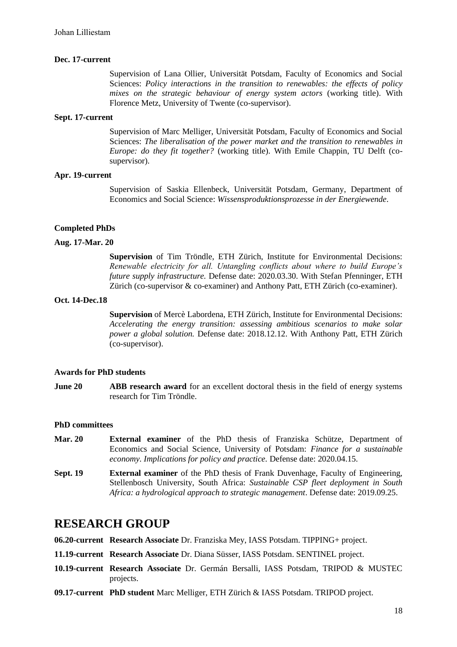#### **Dec. 17-current**

Supervision of Lana Ollier, Universität Potsdam, Faculty of Economics and Social Sciences: *Policy interactions in the transition to renewables: the effects of policy mixes on the strategic behaviour of energy system actors* (working title). With Florence Metz, University of Twente (co-supervisor).

#### **Sept. 17-current**

Supervision of Marc Melliger, Universität Potsdam, Faculty of Economics and Social Sciences: *The liberalisation of the power market and the transition to renewables in Europe: do they fit together?* (working title). With Emile Chappin, TU Delft (cosupervisor).

#### **Apr. 19-current**

Supervision of Saskia Ellenbeck, Universität Potsdam, Germany, Department of Economics and Social Science: *Wissensproduktionsprozesse in der Energiewende*.

#### **Completed PhDs**

#### **Aug. 17-Mar. 20**

**Supervision** of Tim Tröndle, ETH Zürich, Institute for Environmental Decisions: *Renewable electricity for all. Untangling conflicts about where to build Europe's future supply infrastructure.* Defense date: 2020.03.30. With Stefan Pfenninger, ETH Zürich (co-supervisor & co-examiner) and Anthony Patt, ETH Zürich (co-examiner).

#### **Oct. 14-Dec.18**

**Supervision** of Mercè Labordena, ETH Zürich, Institute for Environmental Decisions: *Accelerating the energy transition: assessing ambitious scenarios to make solar power a global solution.* Defense date: 2018.12.12. With Anthony Patt, ETH Zürich (co-supervisor).

#### **Awards for PhD students**

**June 20 ABB research award** for an excellent doctoral thesis in the field of energy systems research for Tim Tröndle.

#### **PhD committees**

- **Mar. 20 External examiner** of the PhD thesis of Franziska Schütze, Department of Economics and Social Science, University of Potsdam: *Finance for a sustainable economy. Implications for policy and practice.* Defense date: 2020.04.15.
- **Sept. 19 External examiner** of the PhD thesis of Frank Duvenhage, Faculty of Engineering, Stellenbosch University, South Africa: *Sustainable CSP fleet deployment in South Africa: a hydrological approach to strategic management*. Defense date: 2019.09.25.

### **RESEARCH GROUP**

**06.20-current Research Associate** Dr. Franziska Mey, IASS Potsdam. TIPPING+ project.

- **11.19-current Research Associate** Dr. Diana Süsser, IASS Potsdam. SENTINEL project.
- **10.19-current Research Associate** Dr. Germán Bersalli, IASS Potsdam, TRIPOD & MUSTEC projects.
- **09.17-current PhD student** Marc Melliger, ETH Zürich & IASS Potsdam. TRIPOD project.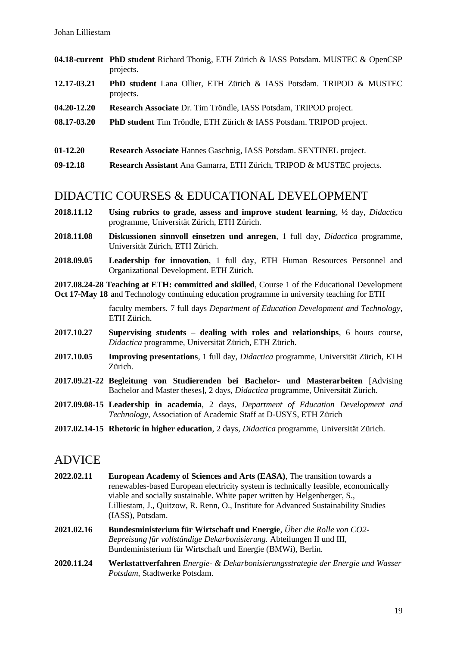- **04.18-current PhD student** Richard Thonig, ETH Zürich & IASS Potsdam. MUSTEC & OpenCSP projects.
- **12.17-03.21 PhD student** Lana Ollier, ETH Zürich & IASS Potsdam. TRIPOD & MUSTEC projects.
- **04.20-12.20 Research Associate** Dr. Tim Tröndle, IASS Potsdam, TRIPOD project.
- **08.17-03.20 PhD student** Tim Tröndle, ETH Zürich & IASS Potsdam. TRIPOD project.
- **01-12.20 Research Associate** Hannes Gaschnig, IASS Potsdam. SENTINEL project.
- **09-12.18 Research Assistant** Ana Gamarra, ETH Zürich, TRIPOD & MUSTEC projects.

### DIDACTIC COURSES & EDUCATIONAL DEVELOPMENT

- **2018.11.12 Using rubrics to grade, assess and improve student learning**, ½ day, *Didactica* programme, Universität Zürich, ETH Zürich.
- **2018.11.08 Diskussionen sinnvoll einsetzen und anregen**, 1 full day, *Didactica* programme, Universität Zürich, ETH Zürich.
- **2018.09.05 Leadership for innovation**, 1 full day, ETH Human Resources Personnel and Organizational Development. ETH Zürich.

**2017.08.24-28 Teaching at ETH: committed and skilled**, Course 1 of the Educational Development **Oct 17-May 18** and Technology continuing education programme in university teaching for ETH

> faculty members. 7 full days *Department of Education Development and Technology*, ETH Zürich.

- **2017.10.27 Supervising students – dealing with roles and relationships**, 6 hours course, *Didactica* programme, Universität Zürich, ETH Zürich.
- **2017.10.05 Improving presentations**, 1 full day, *Didactica* programme, Universität Zürich, ETH Zürich.
- **2017.09.21-22 Begleitung von Studierenden bei Bachelor- und Masterarbeiten** [Advising Bachelor and Master theses], 2 days, *Didactica* programme, Universität Zürich.
- **2017.09.08-15 Leadership in academia**, 2 days, *Department of Education Development and Technology*, Association of Academic Staff at D-USYS, ETH Zürich
- **2017.02.14-15 Rhetoric in higher education**, 2 days, *Didactica* programme, Universität Zürich.

### ADVICE

- **2022.02.11 European Academy of Sciences and Arts (EASA)**, The transition towards a renewables-based European electricity system is technically feasible, economically viable and socially sustainable. White paper written by Helgenberger, S., Lilliestam, J., Quitzow, R. Renn, O., Institute for Advanced Sustainability Studies (IASS), Potsdam.
- **2021.02.16 Bundesministerium für Wirtschaft und Energie**, *Über die Rolle von CO2- Bepreisung für vollständige Dekarbonisierung.* Abteilungen II und III, Bundeministerium für Wirtschaft und Energie (BMWi), Berlin.
- **2020.11.24 Werkstattverfahren** *Energie- & Dekarbonisierungsstrategie der Energie und Wasser Potsdam,* Stadtwerke Potsdam.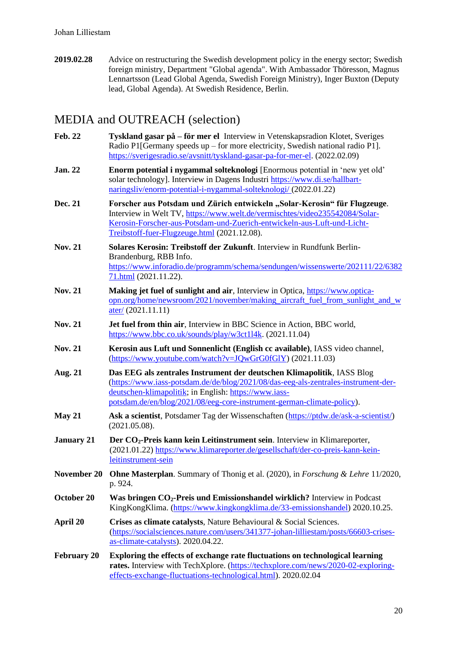**2019.02.28** Advice on restructuring the Swedish development policy in the energy sector; Swedish foreign ministry, Department "Global agenda". With Ambassador Thöresson, Magnus Lennartsson (Lead Global Agenda, Swedish Foreign Ministry), Inger Buxton (Deputy lead, Global Agenda). At Swedish Residence, Berlin.

# MEDIA and OUTREACH (selection)

| <b>Feb. 22</b>     | Tyskland gasar på – för mer el Interview in Vetenskapsradion Klotet, Sveriges<br>Radio P1[Germany speeds up – for more electricity, Swedish national radio P1].<br>https://sverigesradio.se/avsnitt/tyskland-gasar-pa-for-mer-el. (2022.02.09)                                                  |  |
|--------------------|-------------------------------------------------------------------------------------------------------------------------------------------------------------------------------------------------------------------------------------------------------------------------------------------------|--|
| <b>Jan. 22</b>     | Enorm potential i nygammal solteknologi [Enormous potential in 'new yet old'<br>solar technology]. Interview in Dagens Industri https://www.di.se/hallbart-<br>naringsliv/enorm-potential-i-nygammal-solteknologi/ (2022.01.22)                                                                 |  |
| Dec. 21            | Forscher aus Potsdam und Zürich entwickeln "Solar-Kerosin" für Flugzeuge.<br>Interview in Welt TV, https://www.welt.de/vermischtes/video235542084/Solar-<br>Kerosin-Forscher-aus-Potsdam-und-Zuerich-entwickeln-aus-Luft-und-Licht-<br>Treibstoff-fuer-Flugzeuge.html (2021.12.08).             |  |
| <b>Nov. 21</b>     | Solares Kerosin: Treibstoff der Zukunft. Interview in Rundfunk Berlin-<br>Brandenburg, RBB Info.<br>https://www.inforadio.de/programm/schema/sendungen/wissenswerte/202111/22/6382<br>71.html (2021.11.22).                                                                                     |  |
| <b>Nov. 21</b>     | Making jet fuel of sunlight and air, Interview in Optica, https://www.optica-<br>opn.org/home/newsroom/2021/november/making_aircraft_fuel_from_sunlight_and_w<br>$\frac{\text{ater}}{2021.11.11}$                                                                                               |  |
| <b>Nov. 21</b>     | Jet fuel from thin air, Interview in BBC Science in Action, BBC world,<br>https://www.bbc.co.uk/sounds/play/w3ct114k. $(2021.11.04)$                                                                                                                                                            |  |
| <b>Nov. 21</b>     | Kerosin aus Luft und Sonnenlicht (English cc available), IASS video channel,<br>(https://www.youtube.com/watch?v=JQwGrG0fGlY) (2021.11.03)                                                                                                                                                      |  |
| Aug. 21            | Das EEG als zentrales Instrument der deutschen Klimapolitik, IASS Blog<br>(https://www.iass-potsdam.de/de/blog/2021/08/das-eeg-als-zentrales-instrument-der-<br>deutschen-klimapolitik; in English: https://www.iass-<br>potsdam.de/en/blog/2021/08/eeg-core-instrument-german-climate-policy). |  |
| May 21             | Ask a scientist, Potsdamer Tag der Wissenschaften (https://ptdw.de/ask-a-scientist/)<br>(2021.05.08).                                                                                                                                                                                           |  |
| <b>January 21</b>  | Der CO <sub>2</sub> -Preis kann kein Leitinstrument sein. Interview in Klimareporter,<br>(2021.01.22) https://www.klimareporter.de/gesellschaft/der-co-preis-kann-kein-<br>leitinstrument-sein                                                                                                  |  |
|                    | November 20 Ohne Masterplan. Summary of Thonig et al. (2020), in Forschung & Lehre 11/2020,<br>p. 924.                                                                                                                                                                                          |  |
| October 20         | Was bringen CO <sub>2</sub> -Preis und Emissionshandel wirklich? Interview in Podcast<br>KingKongKlima. (https://www.kingkongklima.de/33-emissionshandel) 2020.10.25.                                                                                                                           |  |
| April 20           | Crises as climate catalysts, Nature Behavioural & Social Sciences.<br>(https://socialsciences.nature.com/users/341377-johan-lilliestam/posts/66603-crises-<br>as-climate-catalysts). 2020.04.22.                                                                                                |  |
| <b>February 20</b> | Exploring the effects of exchange rate fluctuations on technological learning<br>rates. Interview with TechXplore. (https://techxplore.com/news/2020-02-exploring-<br>effects-exchange-fluctuations-technological.html). 2020.02.04                                                             |  |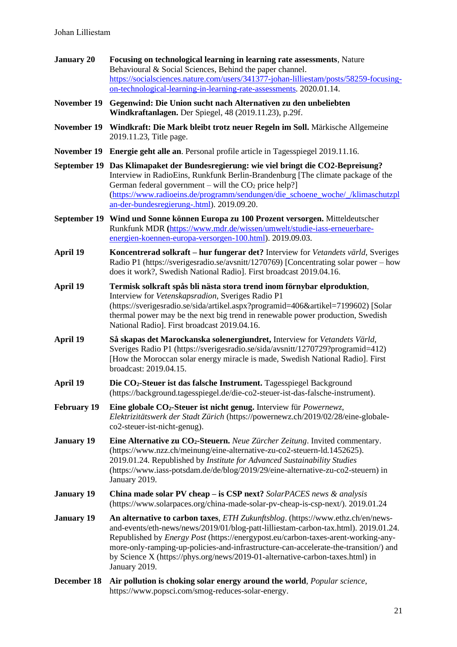- **January 20 Focusing on technological learning in learning rate assessments**, Nature Behavioural & Social Sciences, Behind the paper channel. [https://socialsciences.nature.com/users/341377-johan-lilliestam/posts/58259-focusing](https://socialsciences.nature.com/users/341377-johan-lilliestam/posts/58259-focusing-on-technological-learning-in-learning-rate-assessments)[on-technological-learning-in-learning-rate-assessments.](https://socialsciences.nature.com/users/341377-johan-lilliestam/posts/58259-focusing-on-technological-learning-in-learning-rate-assessments) 2020.01.14.
- **November 19 Gegenwind: Die Union sucht nach Alternativen zu den unbeliebten Windkraftanlagen.** Der Spiegel, 48 (2019.11.23), p.29f.
- **November 19 Windkraft: Die Mark bleibt trotz neuer Regeln im Soll.** Märkische Allgemeine 2019.11.23, Title page.
- **November 19 Energie geht alle an**. Personal profile article in Tagesspiegel 2019.11.16.
- **September 19 Das Klimapaket der Bundesregierung: wie viel bringt die CO2-Bepreisung?** Interview in RadioEins, Runkfunk Berlin-Brandenburg [The climate package of the German federal government – will the  $CO<sub>2</sub>$  price help? [\(https://www.radioeins.de/programm/sendungen/die\\_schoene\\_woche/\\_/klimaschutzpl](https://www.radioeins.de/programm/sendungen/die_schoene_woche/_/klimaschutzplan-der-bundesregierung-.html) [an-der-bundesregierung-.html\)](https://www.radioeins.de/programm/sendungen/die_schoene_woche/_/klimaschutzplan-der-bundesregierung-.html). 2019.09.20.
- **September 19 Wind und Sonne können Europa zu 100 Prozent versorgen.** Mitteldeutscher Runkfunk MDR **(**[https://www.mdr.de/wissen/umwelt/studie-iass-erneuerbare](https://www.mdr.de/wissen/umwelt/studie-iass-erneuerbare-energien-koennen-europa-versorgen-100.html)[energien-koennen-europa-versorgen-100.html\)](https://www.mdr.de/wissen/umwelt/studie-iass-erneuerbare-energien-koennen-europa-versorgen-100.html). 2019.09.03.
- **April 19 Koncentrerad solkraft – hur fungerar det?** Interview for *Vetandets värld*, Sveriges Radio P1 (https://sverigesradio.se/avsnitt/1270769) [Concentrating solar power – how does it work?, Swedish National Radio]. First broadcast 2019.04.16.
- **April 19 Termisk solkraft spås bli nästa stora trend inom förnybar elproduktion**, Interview for *Vetenskapsradion*, Sveriges Radio P1 (https://sverigesradio.se/sida/artikel.aspx?programid=406&artikel=7199602) [Solar thermal power may be the next big trend in renewable power production, Swedish National Radio]. First broadcast 2019.04.16.
- **April 19 Så skapas det Marockanska solenergiundret,** Interview for *Vetandets Värld*, Sveriges Radio P1 (https://sverigesradio.se/sida/avsnitt/1270729?programid=412) [How the Moroccan solar energy miracle is made, Swedish National Radio]. First broadcast: 2019.04.15.
- **April 19 Die CO2-Steuer ist das falsche Instrument.** Tagesspiegel Background (https://background.tagesspiegel.de/die-co2-steuer-ist-das-falsche-instrument).
- **February 19 Eine globale CO2-Steuer ist nicht genug.** Interview für *Powernewz, Elektrizitätswerk der Stadt Zürich* (https://powernewz.ch/2019/02/28/eine-globaleco2-steuer-ist-nicht-genug).
- **January 19 Eine Alternative zu CO2-Steuern.** *Neue Zürcher Zeitung*. Invited commentary. (https://www.nzz.ch/meinung/eine-alternative-zu-co2-steuern-ld.1452625). 2019.01.24. Republished by *Institute for Advanced Sustainability Studies* (https://www.iass-potsdam.de/de/blog/2019/29/eine-alternative-zu-co2-steuern) in January 2019.
- **January 19 China made solar PV cheap – is CSP next?** *SolarPACES news & analysis* (https://www.solarpaces.org/china-made-solar-pv-cheap-is-csp-next/). 2019.01.24
- **January 19 An alternative to carbon taxes**, *ETH Zukunftsblog*. (https://www.ethz.ch/en/newsand-events/eth-news/news/2019/01/blog-patt-lilliestam-carbon-tax.html). 2019.01.24. Republished by *Energy Post* (https://energypost.eu/carbon-taxes-arent-working-anymore-only-ramping-up-policies-and-infrastructure-can-accelerate-the-transition/) and by Science X (https://phys.org/news/2019-01-alternative-carbon-taxes.html) in January 2019.
- **December 18 Air pollution is choking solar energy around the world**, *Popular science*, https://www.popsci.com/smog-reduces-solar-energy.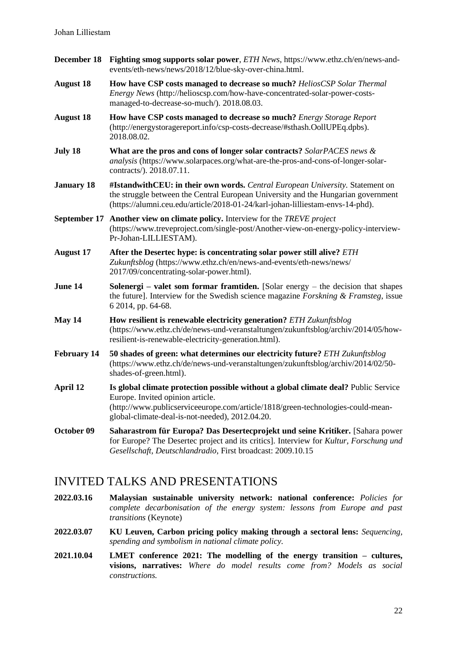- **December 18 Fighting smog supports solar power**, *ETH News*, https://www.ethz.ch/en/news-andevents/eth-news/news/2018/12/blue-sky-over-china.html.
- **August 18 How have CSP costs managed to decrease so much?** *HeliosCSP Solar Thermal Energy News* (http://helioscsp.com/how-have-concentrated-solar-power-costsmanaged-to-decrease-so-much/). 2018.08.03.
- **August 18 How have CSP costs managed to decrease so much?** *Energy Storage Report* (http://energystoragereport.info/csp-costs-decrease/#sthash.OollUPEq.dpbs). 2018.08.02.
- **July 18 What are the pros and cons of longer solar contracts?** *SolarPACES news & analysis* (https://www.solarpaces.org/what-are-the-pros-and-cons-of-longer-solarcontracts/). 2018.07.11.
- **January 18 #IstandwithCEU: in their own words.** *Central European University.* Statement on the struggle between the Central European University and the Hungarian government (https://alumni.ceu.edu/article/2018-01-24/karl-johan-lilliestam-envs-14-phd).
- **September 17 Another view on climate policy.** Interview for the *TREVE project* (https://www.treveproject.com/single-post/Another-view-on-energy-policy-interview-Pr-Johan-LILLIESTAM).
- **August 17 After the Desertec hype: is concentrating solar power still alive?** *ETH Zukunftsblog* (https://www.ethz.ch/en/news-and-events/eth-news/news/ 2017/09/concentrating-solar-power.html).
- **June 14 Solenergi – valet som formar framtiden.** [Solar energy the decision that shapes the future]. Interview for the Swedish science magazine *Forskning & Framsteg*, issue 6 2014, pp. 64-68.
- **May 14 How resilient is renewable electricity generation?** *ETH Zukunftsblog* (https://www.ethz.ch/de/news-und-veranstaltungen/zukunftsblog/archiv/2014/05/howresilient-is-renewable-electricity-generation.html).
- **February 14 50 shades of green: what determines our electricity future?** *ETH Zukunftsblog* (https://www.ethz.ch/de/news-und-veranstaltungen/zukunftsblog/archiv/2014/02/50 shades-of-green.html).
- **April 12 Is global climate protection possible without a global climate deal?** Public Service Europe. Invited opinion article. (http://www.publicserviceeurope.com/article/1818/green-technologies-could-meanglobal-climate-deal-is-not-needed), 2012.04.20.
- **October 09 Saharastrom für Europa? Das Desertecprojekt und seine Kritiker.** [Sahara power for Europe? The Desertec project and its critics]. Interview for *Kultur, Forschung und Gesellschaft, Deutschlandradio*, First broadcast: 2009.10.15

# INVITED TALKS AND PRESENTATIONS

- **2022.03.16 Malaysian sustainable university network: national conference:** *Policies for complete decarbonisation of the energy system: lessons from Europe and past transitions* (Keynote)
- **2022.03.07 KU Leuven, Carbon pricing policy making through a sectoral lens:** *Sequencing, spending and symbolism in national climate policy.*
- **2021.10.04 LMET conference 2021: The modelling of the energy transition – cultures, visions, narratives:** *Where do model results come from? Models as social constructions.*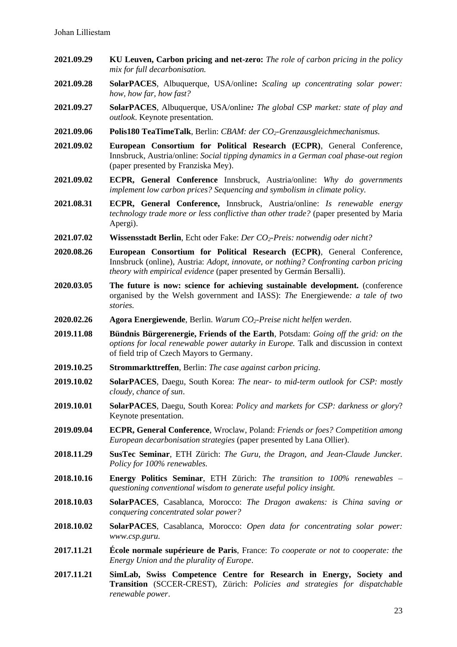- **2021.09.29 KU Leuven, Carbon pricing and net-zero:** *The role of carbon pricing in the policy mix for full decarbonisation.*
- **2021.09.28 SolarPACES**, Albuquerque, USA/online**:** *Scaling up concentrating solar power: how, how far, how fast?*
- **2021.09.27 SolarPACES**, Albuquerque, USA/online*: The global CSP market: state of play and outlook*. Keynote presentation.
- **2021.09.06 Polis180 TeaTimeTalk**, Berlin: *CBAM: der CO2-Grenzausgleichmechanismus.*
- **2021.09.02 European Consortium for Political Research (ECPR)**, General Conference, Innsbruck, Austria/online: *Social tipping dynamics in a German coal phase-out region* (paper presented by Franziska Mey).
- **2021.09.02 ECPR, General Conference** Innsbruck, Austria/online: *Why do governments implement low carbon prices? Sequencing and symbolism in climate policy.*
- **2021.08.31 ECPR, General Conference,** Innsbruck, Austria/online: *Is renewable energy technology trade more or less conflictive than other trade?* (paper presented by Maria Apergi).
- **2021.07.02 Wissensstadt Berlin**, Echt oder Fake: *Der CO2-Preis: notwendig oder nicht?*
- **2020.08.26 European Consortium for Political Research (ECPR)**, General Conference, Innsbruck (online), Austria: *Adopt, innovate, or nothing? Confronting carbon pricing theory with empirical evidence* (paper presented by Germán Bersalli).
- **2020.03.05 The future is now: science for achieving sustainable development.** (conference organised by the Welsh government and IASS): *The* Energiewende*: a tale of two stories.*
- **2020.02.26 Agora Energiewende**, Berlin. *Warum CO2-Preise nicht helfen werden*.
- **2019.11.08 Bündnis Bürgerenergie, Friends of the Earth**, Potsdam: *Going off the grid: on the options for local renewable power autarky in Europe.* Talk and discussion in context of field trip of Czech Mayors to Germany.
- **2019.10.25 Strommarkttreffen**, Berlin: *The case against carbon pricing*.
- **2019.10.02 SolarPACES**, Daegu, South Korea: *The near- to mid-term outlook for CSP: mostly cloudy, chance of sun*.
- **2019.10.01 SolarPACES**, Daegu, South Korea: *Policy and markets for CSP: darkness or glory*? Keynote presentation.
- **2019.09.04 ECPR, General Conference**, Wroclaw, Poland: *Friends or foes? Competition among European decarbonisation strategies* (paper presented by Lana Ollier).
- **2018.11.29 SusTec Seminar**, ETH Zürich: *The Guru, the Dragon, and Jean-Claude Juncker. Policy for 100% renewables.*
- **2018.10.16 Energy Politics Seminar**, ETH Zürich: *The transition to 100% renewables – questioning conventional wisdom to generate useful policy insight.*
- **2018.10.03 SolarPACES**, Casablanca, Morocco: *The Dragon awakens: is China saving or conquering concentrated solar power?*
- **2018.10.02 SolarPACES**, Casablanca, Morocco: *Open data for concentrating solar power: www.csp.guru*.
- **2017.11.21 École normale supérieure de Paris**, France: *To cooperate or not to cooperate: the Energy Union and the plurality of Europe*.
- **2017.11.21 SimLab, Swiss Competence Centre for Research in Energy, Society and Transition** (SCCER-CREST), Zürich: *Policies and strategies for dispatchable renewable power*.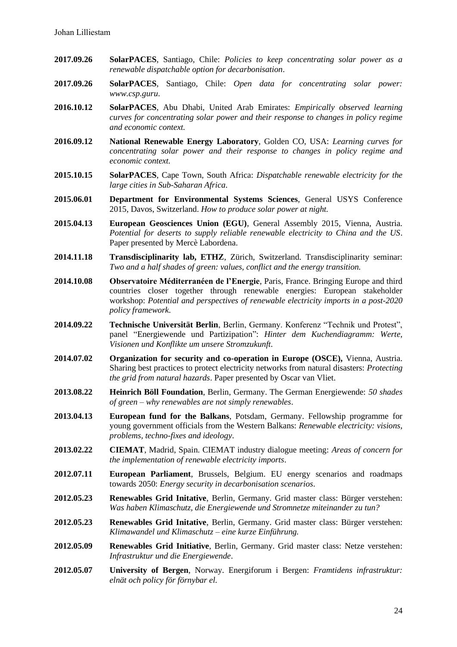- **2017.09.26 SolarPACES**, Santiago, Chile: *Policies to keep concentrating solar power as a renewable dispatchable option for decarbonisation*.
- **2017.09.26 SolarPACES**, Santiago, Chile: *Open data for concentrating solar power: www.csp.guru*.
- **2016.10.12 SolarPACES**, Abu Dhabi, United Arab Emirates: *Empirically observed learning curves for concentrating solar power and their response to changes in policy regime and economic context.*
- **2016.09.12 National Renewable Energy Laboratory**, Golden CO, USA: *Learning curves for concentrating solar power and their response to changes in policy regime and economic context.*
- **2015.10.15 SolarPACES**, Cape Town, South Africa: *Dispatchable renewable electricity for the large cities in Sub-Saharan Africa*.
- **2015.06.01 Department for Environmental Systems Sciences**, General USYS Conference 2015, Davos, Switzerland. *How to produce solar power at night.*
- **2015.04.13 European Geosciences Union (EGU)**, General Assembly 2015, Vienna, Austria. *Potential for deserts to supply reliable renewable electricity to China and the US*. Paper presented by Mercè Labordena.
- **2014.11.18 Transdisciplinarity lab, ETHZ**, Zürich, Switzerland. Transdisciplinarity seminar: *Two and a half shades of green: values, conflict and the energy transition.*
- **2014.10.08 Observatoire Méditerranéen de l'Energie**, Paris, France. Bringing Europe and third countries closer together through renewable energies: European stakeholder workshop: *Potential and perspectives of renewable electricity imports in a post-2020 policy framework.*
- **2014.09.22 Technische Universität Berlin**, Berlin, Germany. Konferenz "Technik und Protest", panel "Energiewende und Partizipation": *Hinter dem Kuchendiagramm: Werte, Visionen und Konflikte um unsere Stromzukunft*.
- **2014.07.02 Organization for security and co-operation in Europe (OSCE),** Vienna, Austria. Sharing best practices to protect electricity networks from natural disasters: *Protecting the grid from natural hazards*. Paper presented by Oscar van Vliet.
- **2013.08.22 Heinrich Böll Foundation**, Berlin, Germany. The German Energiewende: *50 shades of green – why renewables are not simply renewables*.
- **2013.04.13 European fund for the Balkans**, Potsdam, Germany. Fellowship programme for young government officials from the Western Balkans: *Renewable electricity: visions, problems, techno-fixes and ideology*.
- **2013.02.22 CIEMAT**, Madrid, Spain. CIEMAT industry dialogue meeting: *Areas of concern for the implementation of renewable electricity imports*.
- **2012.07.11 European Parliament**, Brussels, Belgium. EU energy scenarios and roadmaps towards 2050: *Energy security in decarbonisation scenarios*.
- **2012.05.23 Renewables Grid Initative**, Berlin, Germany. Grid master class: Bürger verstehen: *Was haben Klimaschutz, die Energiewende und Stromnetze miteinander zu tun?*
- **2012.05.23 Renewables Grid Initative**, Berlin, Germany. Grid master class: Bürger verstehen: *Klimawandel und Klimaschutz – eine kurze Einführung.*
- **2012.05.09 Renewables Grid Initiative**, Berlin, Germany. Grid master class: Netze verstehen: *Infrastruktur und die Energiewende*.
- **2012.05.07 University of Bergen**, Norway. Energiforum i Bergen: *Framtidens infrastruktur: elnät och policy för förnybar el.*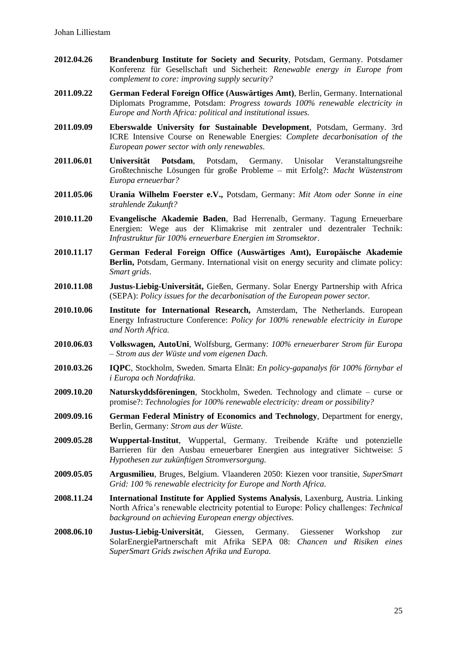- **2012.04.26 Brandenburg Institute for Society and Security**, Potsdam, Germany. Potsdamer Konferenz für Gesellschaft und Sicherheit: *Renewable energy in Europe from complement to core: improving supply security?*
- **2011.09.22 German Federal Foreign Office (Auswärtiges Amt)**, Berlin, Germany. International Diplomats Programme, Potsdam: *Progress towards 100% renewable electricity in Europe and North Africa: political and institutional issues.*
- **2011.09.09 Eberswalde University for Sustainable Development**, Potsdam, Germany. 3rd ICRE Intensive Course on Renewable Energies: *Complete decarbonisation of the European power sector with only renewables.*
- **2011.06.01 Universität Potsdam**, Potsdam, Germany. Unisolar Veranstaltungsreihe Großtechnische Lösungen für große Probleme – mit Erfolg?: *Macht Wüstenstrom Europa erneuerbar?*
- **2011.05.06 Urania Wilhelm Foerster e.V.,** Potsdam, Germany: *Mit Atom oder Sonne in eine strahlende Zukunft?*
- **2010.11.20 Evangelische Akademie Baden**, Bad Herrenalb, Germany. Tagung Erneuerbare Energien: Wege aus der Klimakrise mit zentraler und dezentraler Technik: *Infrastruktur für 100% erneuerbare Energien im Stromsektor*.
- **2010.11.17 German Federal Foreign Office (Auswärtiges Amt), Europäische Akademie Berlin,** Potsdam, Germany. International visit on energy security and climate policy: *Smart grids*.
- **2010.11.08 Justus-Liebig-Universität,** Gießen, Germany. Solar Energy Partnership with Africa (SEPA): *Policy issues for the decarbonisation of the European power sector.*
- **2010.10.06 Institute for International Research,** Amsterdam, The Netherlands. European Energy Infrastructure Conference: *Policy for 100% renewable electricity in Europe and North Africa.*
- **2010.06.03 Volkswagen, AutoUni**, Wolfsburg, Germany: *100% erneuerbarer Strom für Europa – Strom aus der Wüste und vom eigenen Dach.*
- **2010.03.26 IQPC**, Stockholm, Sweden. Smarta Elnät: *En policy-gapanalys för 100% förnybar el i Europa och Nordafrika.*
- **2009.10.20 Naturskyddsföreningen**, Stockholm, Sweden. Technology and climate curse or promise?: *Technologies for 100% renewable electricity: dream or possibility?*
- **2009.09.16 German Federal Ministry of Economics and Technology**, Department for energy, Berlin, Germany: *Strom aus der Wüste.*
- **2009.05.28 Wuppertal-Institut**, Wuppertal, Germany. Treibende Kräfte und potenzielle Barrieren für den Ausbau erneuerbarer Energien aus integrativer Sichtweise: *5 Hypothesen zur zukünftigen Stromversorgung.*
- **2009.05.05 Argusmilieu**, Bruges, Belgium. Vlaanderen 2050: Kiezen voor transitie, *SuperSmart Grid: 100 % renewable electricity for Europe and North Africa.*
- **2008.11.24 International Institute for Applied Systems Analysis**, Laxenburg, Austria. Linking North Africa's renewable electricity potential to Europe: Policy challenges: *Technical background on achieving European energy objectives.*
- **2008.06.10 Justus-Liebig-Universität**, Giessen, Germany. Giessener Workshop zur SolarEnergiePartnerschaft mit Afrika SEPA 08: *Chancen und Risiken eines SuperSmart Grids zwischen Afrika und Europa.*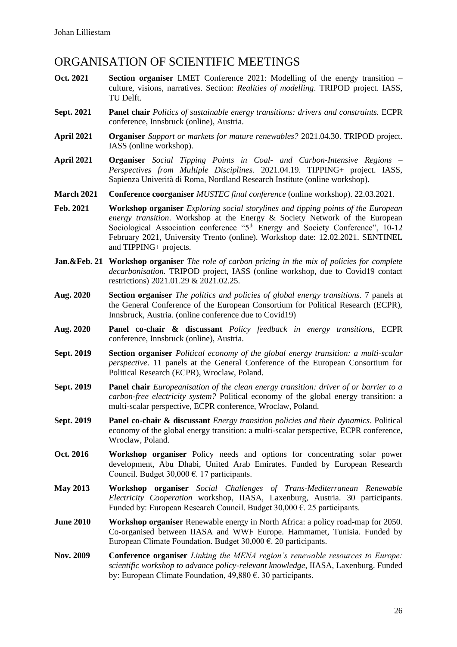## ORGANISATION OF SCIENTIFIC MEETINGS

- **Oct. 2021 Section organiser** LMET Conference 2021: Modelling of the energy transition culture, visions, narratives. Section: *Realities of modelling*. TRIPOD project. IASS, TU Delft.
- **Sept. 2021 Panel chair** *Politics of sustainable energy transitions: drivers and constraints.* ECPR conference, Innsbruck (online), Austria.
- **April 2021 Organiser** *Support or markets for mature renewables?* 2021.04.30. TRIPOD project. IASS (online workshop).
- **April 2021 Organiser** *Social Tipping Points in Coal- and Carbon-Intensive Regions – Perspectives from Multiple Disciplines*. 2021.04.19. TIPPING+ project. IASS, Sapienza Univerità di Roma, Nordland Research Institute (online workshop).
- **March 2021 Conference coorganiser** *MUSTEC final conference* (online workshop). 22.03.2021.
- **Feb. 2021 Workshop organiser** *Exploring social storylines and tipping points of the European energy transition*. Workshop at the Energy & Society Network of the European Sociological Association conference "5<sup>th</sup> Energy and Society Conference", 10-12 February 2021, University Trento (online). Workshop date: 12.02.2021. SENTINEL and TIPPING+ projects.
- **Jan.&Feb. 21 Workshop organiser** *The role of carbon pricing in the mix of policies for complete decarbonisation.* TRIPOD project, IASS (online workshop, due to Covid19 contact restrictions) 2021.01.29 & 2021.02.25.
- **Aug. 2020 Section organiser** *The politics and policies of global energy transitions.* 7 panels at the General Conference of the European Consortium for Political Research (ECPR), Innsbruck, Austria. (online conference due to Covid19)
- **Aug. 2020 Panel co-chair & discussant** *Policy feedback in energy transitions,* ECPR conference, Innsbruck (online), Austria.
- **Sept. 2019 Section organiser** *Political economy of the global energy transition: a multi-scalar perspective*. 11 panels at the General Conference of the European Consortium for Political Research (ECPR), Wroclaw, Poland.
- **Sept. 2019 Panel chair** *Europeanisation of the clean energy transition: driver of or barrier to a carbon-free electricity system?* Political economy of the global energy transition: a multi-scalar perspective, ECPR conference, Wroclaw, Poland.
- **Sept. 2019 Panel co-chair & discussant** *Energy transition policies and their dynamics*. Political economy of the global energy transition: a multi-scalar perspective, ECPR conference, Wroclaw, Poland.
- **Oct. 2016 Workshop organiser** Policy needs and options for concentrating solar power development, Abu Dhabi, United Arab Emirates. Funded by European Research Council. Budget 30,000 €. 17 participants.
- **May 2013 Workshop organiser** *Social Challenges of Trans-Mediterranean Renewable Electricity Cooperation* workshop, IIASA, Laxenburg, Austria. 30 participants. Funded by: European Research Council. Budget 30,000 €. 25 participants.
- **June 2010 Workshop organiser** Renewable energy in North Africa: a policy road-map for 2050. Co-organised between IIASA and WWF Europe. Hammamet, Tunisia. Funded by European Climate Foundation. Budget  $30,000 \in 20$  participants.
- **Nov. 2009 Conference organiser** *Linking the MENA region's renewable resources to Europe: scientific workshop to advance policy-relevant knowledge*, IIASA, Laxenburg. Funded by: European Climate Foundation, 49,880 €. 30 participants.